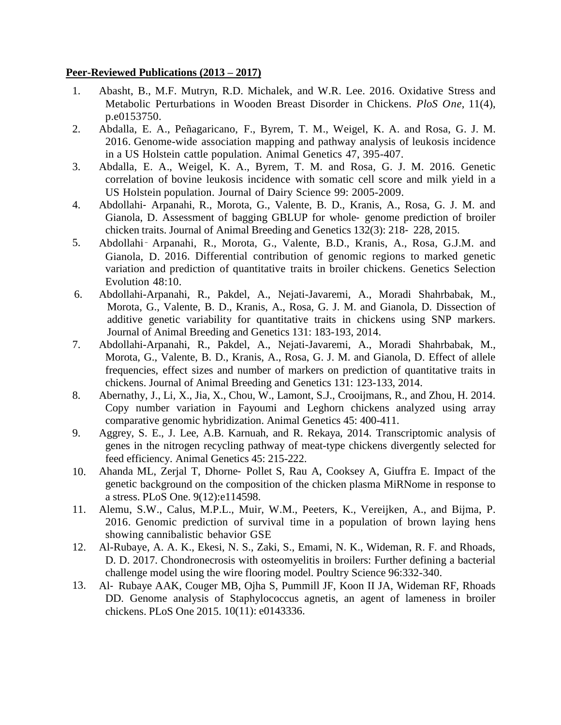### **Peer-Reviewed Publications (2013 – 2017)**

- 1. Abasht, B., M.F. Mutryn, R.D. Michalek, and W.R. Lee. 2016. Oxidative Stress and Metabolic Perturbations in Wooden Breast Disorder in Chickens. *PloS One*, 11(4), p.e0153750.
- 2. Abdalla, E. A., Peñagaricano, F., Byrem, T. M., Weigel, K. A. and Rosa, G. J. M. 2016. Genome-wide association mapping and pathway analysis of leukosis incidence in a US Holstein cattle population. Animal Genetics 47, 395-407.
- 3. Abdalla, E. A., Weigel, K. A., Byrem, T. M. and Rosa, G. J. M. 2016. Genetic correlation of bovine leukosis incidence with somatic cell score and milk yield in a US Holstein population. Journal of Dairy Science 99: 2005-2009.
- 4. Abdollahi‐ Arpanahi, R., Morota, G., Valente, B. D., Kranis, A., Rosa, G. J. M. and Gianola, D. Assessment of bagging GBLUP for whole‐ genome prediction of broiler chicken traits. Journal of Animal Breeding and Genetics 132(3): 218‐ 228, 2015.
- 5. Abdollahi‑ Arpanahi, R., Morota, G., Valente, B.D., Kranis, A., Rosa, G.J.M. and Gianola, D. 2016. Differential contribution of genomic regions to marked genetic variation and prediction of quantitative traits in broiler chickens. Genetics Selection Evolution 48:10.
- 6. Abdollahi-Arpanahi, R., Pakdel, A., Nejati-Javaremi, A., Moradi Shahrbabak, M., Morota, G., Valente, B. D., Kranis, A., Rosa, G. J. M. and Gianola, D. Dissection of additive genetic variability for quantitative traits in chickens using SNP markers. Journal of Animal Breeding and Genetics 131: 183-193, 2014.
- 7. Abdollahi-Arpanahi, R., Pakdel, A., Nejati-Javaremi, A., Moradi Shahrbabak, M., Morota, G., Valente, B. D., Kranis, A., Rosa, G. J. M. and Gianola, D. Effect of allele frequencies, effect sizes and number of markers on prediction of quantitative traits in chickens. Journal of Animal Breeding and Genetics 131: 123-133, 2014.
- 8. Abernathy, J., Li, X., Jia, X., Chou, W., Lamont, S.J., Crooijmans, R., and Zhou, H. 2014. Copy number variation in Fayoumi and Leghorn chickens analyzed using array comparative genomic hybridization. Animal Genetics 45: 400-411.
- 9. Aggrey, S. E., J. Lee, A.B. Karnuah, and R. Rekaya, 2014. Transcriptomic analysis of genes in the nitrogen recycling pathway of meat-type chickens divergently selected for feed efficiency. Animal Genetics 45: 215-222.
- 10. Ahanda ML, Zerjal T, Dhorne‐ Pollet S, Rau A, Cooksey A, Giuffra E. Impact of the genetic background on the composition of the chicken plasma MiRNome in response to a stress. PLoS One. 9(12):e114598.
- 11. Alemu, S.W., Calus, M.P.L., Muir, W.M., Peeters, K., Vereijken, A., and Bijma, P. 2016. Genomic prediction of survival time in a population of brown laying hens showing cannibalistic behavior GSE
- 12. Al-Rubaye, A. A. K., Ekesi, N. S., Zaki, S., Emami, N. K., Wideman, R. F. and Rhoads, D. D. 2017. Chondronecrosis with osteomyelitis in broilers: Further defining a bacterial challenge model using the wire flooring model. Poultry Science 96:332-340.
- 13. Al‐ Rubaye AAK, Couger MB, Ojha S, Pummill JF, Koon II JA, Wideman RF, Rhoads DD. Genome analysis of Staphylococcus agnetis, an agent of lameness in broiler chickens. PLoS One 2015. 10(11): e0143336.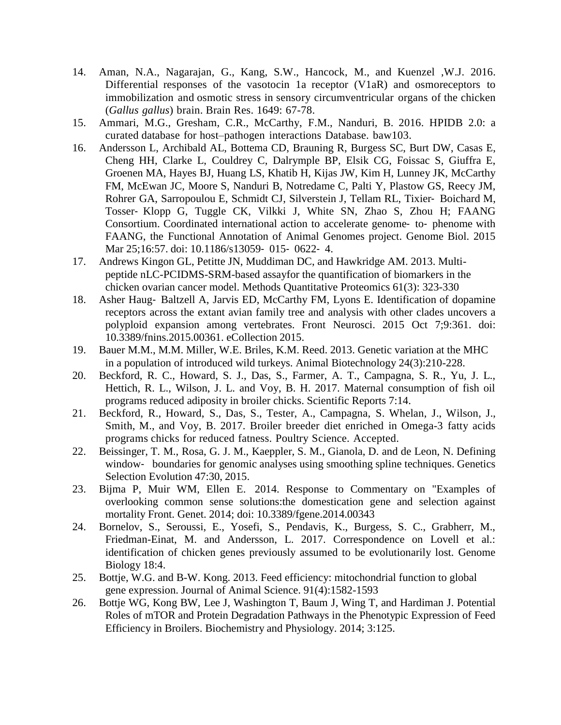- 14. Aman, N.A., Nagarajan, G., Kang, S.W., Hancock, M., and Kuenzel ,W.J. 2016. Differential responses of the vasotocin 1a receptor (V1aR) and osmoreceptors to immobilization and osmotic stress in sensory circumventricular organs of the chicken (*Gallus gallus*) brain. Brain Res. 1649: 67-78.
- 15. Ammari, M.G., Gresham, C.R., McCarthy, F.M., Nanduri, B. 2016. HPIDB 2.0: a curated database for host–pathogen interactions Database. baw103.
- 16. Andersson L, Archibald AL, Bottema CD, Brauning R, Burgess SC, Burt DW, Casas E, Cheng HH, Clarke L, Couldrey C, Dalrymple BP, Elsik CG, Foissac S, Giuffra E, Groenen MA, Hayes BJ, Huang LS, Khatib H, Kijas JW, Kim H, Lunney JK, McCarthy FM, McEwan JC, Moore S, Nanduri B, Notredame C, Palti Y, Plastow GS, Reecy JM, Rohrer GA, Sarropoulou E, Schmidt CJ, Silverstein J, Tellam RL, Tixier‐ Boichard M, Tosser‐ Klopp G, Tuggle CK, Vilkki J, White SN, Zhao S, Zhou H; FAANG Consortium. Coordinated international action to accelerate genome‐ to‐ phenome with FAANG, the Functional Annotation of Animal Genomes project. Genome Biol. 2015 Mar 25;16:57. doi: 10.1186/s13059‐ 015‐ 0622‐ 4.
- 17. Andrews Kingon GL, Petitte JN, Muddiman DC, and Hawkridge AM. 2013. Multipeptide nLC-PCIDMS-SRM-based assayfor the quantification of biomarkers in the chicken ovarian cancer model. Methods Quantitative Proteomics 61(3): 323-330
- 18. Asher Haug‐ Baltzell A, Jarvis ED, McCarthy FM, Lyons E. Identification of dopamine receptors across the extant avian family tree and analysis with other clades uncovers a polyploid expansion among vertebrates. Front Neurosci. 2015 Oct 7;9:361. doi: 10.3389/fnins.2015.00361. eCollection 2015.
- 19. Bauer M.M., M.M. Miller, W.E. Briles, K.M. Reed. 2013. Genetic variation at the MHC in a population of introduced wild turkeys. Animal Biotechnology 24(3):210-228.
- 20. Beckford, R. C., Howard, S. J., Das, S., Farmer, A. T., Campagna, S. R., Yu, J. L., Hettich, R. L., Wilson, J. L. and Voy, B. H. 2017. Maternal consumption of fish oil programs reduced adiposity in broiler chicks. Scientific Reports 7:14.
- 21. Beckford, R., Howard, S., Das, S., Tester, A., Campagna, S. Whelan, J., Wilson, J., Smith, M., and Voy, B. 2017. Broiler breeder diet enriched in Omega-3 fatty acids programs chicks for reduced fatness. Poultry Science. Accepted.
- 22. Beissinger, T. M., Rosa, G. J. M., Kaeppler, S. M., Gianola, D. and de Leon, N. Defining window- boundaries for genomic analyses using smoothing spline techniques. Genetics Selection Evolution 47:30, 2015.
- 23. Bijma P, Muir WM, Ellen E. 2014. Response to Commentary on "Examples of overlooking common sense solutions:the domestication gene and selection against mortality Front. Genet. 2014; doi: 10.3389/fgene.2014.00343
- 24. Bornelov, S., Seroussi, E., Yosefi, S., Pendavis, K., Burgess, S. C., Grabherr, M., Friedman-Einat, M. and Andersson, L. 2017. Correspondence on Lovell et al.: identification of chicken genes previously assumed to be evolutionarily lost. Genome Biology 18:4.
- 25. Bottje, W.G. and B-W. Kong. 2013. Feed efficiency: mitochondrial function to global gene expression. Journal of Animal Science. 91(4):1582-1593
- 26. Bottje WG, Kong BW, Lee J, Washington T, Baum J, Wing T, and Hardiman J. Potential Roles of mTOR and Protein Degradation Pathways in the Phenotypic Expression of Feed Efficiency in Broilers. Biochemistry and Physiology. 2014; 3:125.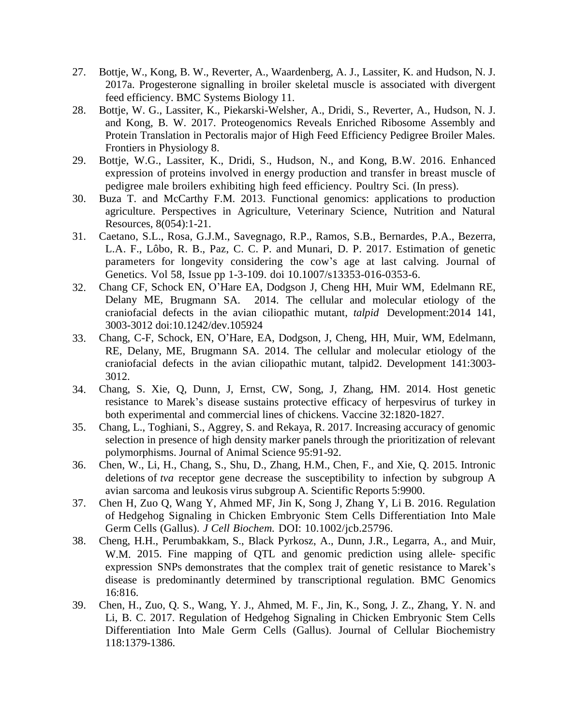- 27. Bottje, W., Kong, B. W., Reverter, A., Waardenberg, A. J., Lassiter, K. and Hudson, N. J. 2017a. Progesterone signalling in broiler skeletal muscle is associated with divergent feed efficiency. BMC Systems Biology 11.
- 28. Bottje, W. G., Lassiter, K., Piekarski-Welsher, A., Dridi, S., Reverter, A., Hudson, N. J. and Kong, B. W. 2017. Proteogenomics Reveals Enriched Ribosome Assembly and Protein Translation in Pectoralis major of High Feed Efficiency Pedigree Broiler Males. Frontiers in Physiology 8.
- 29. Bottje, W.G., Lassiter, K., Dridi, S., Hudson, N., and Kong, B.W. 2016. Enhanced expression of proteins involved in energy production and transfer in breast muscle of pedigree male broilers exhibiting high feed efficiency. Poultry Sci. (In press).
- 30. Buza T. and McCarthy F.M. 2013. Functional genomics: applications to production agriculture. Perspectives in Agriculture, Veterinary Science, Nutrition and Natural Resources, 8(054):1-21.
- 31. Caetano, S.L., Rosa, G.J.M., Savegnago, R.P., Ramos, S.B., Bernardes, P.A., Bezerra, L.A. F., Lôbo, R. B., Paz, C. C. P. and Munari, D. P. 2017. Estimation of genetic parameters for longevity considering the cow's age at last calving. Journal of Genetics. Vol 58, Issue pp 1-3-109. doi 10.1007/s13353-016-0353-6.
- 32. Chang CF, Schock EN, O'Hare EA, Dodgson J, Cheng HH, Muir WM, Edelmann RE, Delany ME, Brugmann SA. 2014. The cellular and molecular etiology of the craniofacial defects in the avian ciliopathic mutant, *talpid* Development:2014 141, 3003-3012 doi:10.1242/dev.105924
- 33. Chang, C-F, Schock, EN, O'Hare, EA, Dodgson, J, Cheng, HH, Muir, WM, Edelmann, RE, Delany, ME, Brugmann SA. 2014. The cellular and molecular etiology of the craniofacial defects in the avian ciliopathic mutant, talpid2. Development 141:3003- 3012.
- 34. Chang, S. Xie, Q, Dunn, J, Ernst, CW, Song, J, Zhang, HM. 2014. Host genetic resistance to Marek's disease sustains protective efficacy of herpesvirus of turkey in both experimental and commercial lines of chickens. Vaccine 32:1820-1827.
- 35. Chang, L., Toghiani, S., Aggrey, S. and Rekaya, R. 2017. Increasing accuracy of genomic selection in presence of high density marker panels through the prioritization of relevant polymorphisms. Journal of Animal Science 95:91-92.
- 36. Chen, W., Li, H., Chang, S., Shu, D., Zhang, H.M., Chen, F., and Xie, Q. 2015. Intronic deletions of *tva* receptor gene decrease the susceptibility to infection by subgroup A avian sarcoma and leukosis virus subgroup A. Scientific Reports 5:9900.
- 37. Chen H, Zuo Q, Wang Y, Ahmed MF, Jin K, Song J, Zhang Y, Li B. 2016. Regulation of Hedgehog Signaling in Chicken Embryonic Stem Cells Differentiation Into Male Germ Cells (Gallus). *J Cell Biochem.* DOI: 10.1002/jcb.25796.
- 38. Cheng, H.H., Perumbakkam, S., Black Pyrkosz, A., Dunn, J.R., Legarra, A., and Muir, W.M. 2015. Fine mapping of QTL and genomic prediction using allele- specific expression SNPs demonstrates that the complex trait of genetic resistance to Marek's disease is predominantly determined by transcriptional regulation. BMC Genomics 16:816.
- 39. Chen, H., Zuo, Q. S., Wang, Y. J., Ahmed, M. F., Jin, K., Song, J. Z., Zhang, Y. N. and Li, B. C. 2017. Regulation of Hedgehog Signaling in Chicken Embryonic Stem Cells Differentiation Into Male Germ Cells (Gallus). Journal of Cellular Biochemistry 118:1379-1386.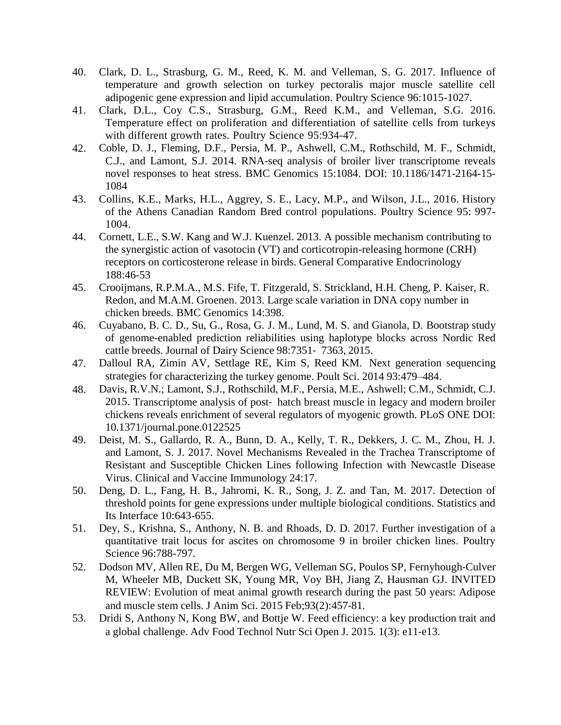- 40. Clark, D. L., Strasburg, G. M., Reed, K. M. and Velleman, S. G. 2017. Influence of temperature and growth selection on turkey pectoralis major muscle satellite cell adipogenic gene expression and lipid accumulation. Poultry Science 96:1015-1027.
- 41. Clark, D.L., Coy C.S., Strasburg, G.M., Reed K.M., and Velleman, S.G. 2016. Temperature effect on proliferation and differentiation of satellite cells from turkeys with different growth rates. Poultry Science 95:934-47.
- 42. Coble, D. J., Fleming, D.F., Persia, M. P., Ashwell, C.M., Rothschild, M. F., Schmidt, C.J., and Lamont, S.J. 2014. RNA-seq analysis of broiler liver transcriptome reveals novel responses to heat stress. BMC Genomics 15:1084. DOI: 10.1186/1471-2164-15- 1084
- 43. Collins, K.E., Marks, H.L., Aggrey, S. E., Lacy, M.P., and Wilson, J.L., 2016. History of the Athens Canadian Random Bred control populations. Poultry Science 95: 997- 1004.
- 44. Cornett, L.E., S.W. Kang and W.J. Kuenzel. 2013. A possible mechanism contributing to the synergistic action of vasotocin (VT) and corticotropin-releasing hormone (CRH) receptors on corticosterone release in birds. General Comparative Endocrinology 188:46-53
- 45. Crooijmans, R.P.M.A., M.S. Fife, T. Fitzgerald, S. Strickland, H.H. Cheng, P. Kaiser, R. Redon, and M.A.M. Groenen. 2013. Large scale variation in DNA copy number in chicken breeds. BMC Genomics 14:398.
- 46. Cuyabano, B. C. D., Su, G., Rosa, G. J. M., Lund, M. S. and Gianola, D. Bootstrap study of genome-enabled prediction reliabilities using haplotype blocks across Nordic Red cattle breeds. Journal of Dairy Science 98:7351‐ 7363, 2015.
- 47. Dalloul RA, Zimin AV, Settlage RE, Kim S, Reed KM. Next generation sequencing strategies for characterizing the turkey genome. Poult Sci. 2014 93:479–484.
- 48. Davis, R.V.N.; Lamont, S.J., Rothschild, M.F., Persia, M.E., Ashwell; C.M., Schmidt, C.J. 2015. Transcriptome analysis of post‐ hatch breast muscle in legacy and modern broiler chickens reveals enrichment of several regulators of myogenic growth. PLoS ONE DOI: 10.1371/journal.pone.0122525
- 49. Deist, M. S., Gallardo, R. A., Bunn, D. A., Kelly, T. R., Dekkers, J. C. M., Zhou, H. J. and Lamont, S. J. 2017. Novel Mechanisms Revealed in the Trachea Transcriptome of Resistant and Susceptible Chicken Lines following Infection with Newcastle Disease Virus. Clinical and Vaccine Immunology 24:17.
- 50. Deng, D. L., Fang, H. B., Jahromi, K. R., Song, J. Z. and Tan, M. 2017. Detection of threshold points for gene expressions under multiple biological conditions. Statistics and Its Interface 10:643-655.
- 51. Dey, S., Krishna, S., Anthony, N. B. and Rhoads, D. D. 2017. Further investigation of a quantitative trait locus for ascites on chromosome 9 in broiler chicken lines. Poultry Science 96:788-797.
- 52. Dodson MV, Allen RE, Du M, Bergen WG, Velleman SG, Poulos SP, Fernyhough-Culver M, Wheeler MB, Duckett SK, Young MR, Voy BH, Jiang Z, Hausman GJ. INVITED REVIEW: Evolution of meat animal growth research during the past 50 years: Adipose and muscle stem cells. J Anim Sci. 2015 Feb;93(2):457‐81.
- 53. Dridi S, Anthony N, Kong BW, and Bottje W. Feed efficiency: a key production trait and a global challenge. Adv Food Technol Nutr Sci Open J. 2015. 1(3): e11‐e13.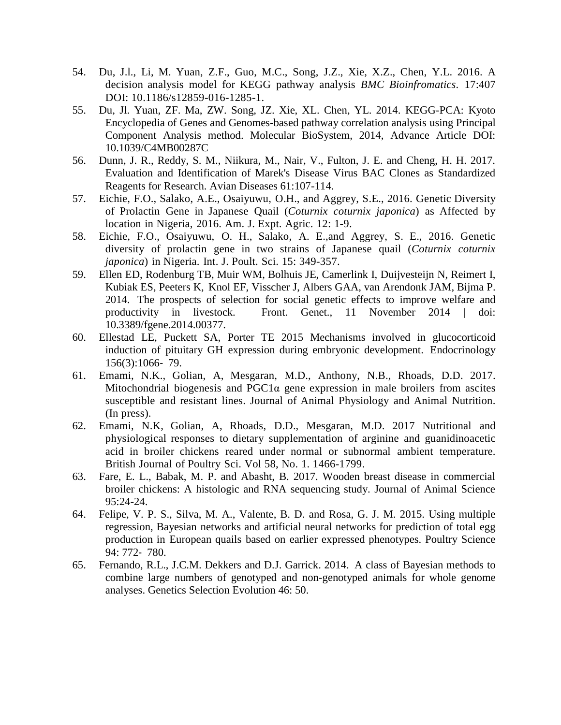- 54. Du, J.l., Li, M. Yuan, Z.F., Guo, M.C., Song, J.Z., Xie, X.Z., Chen, Y.L. 2016. A decision analysis model for KEGG pathway analysis *BMC Bioinfromatics*. 17:407 DOI: 10.1186/s12859-016-1285-1.
- 55. Du, Jl. Yuan, ZF. Ma, ZW. Song, JZ. Xie, XL. Chen, YL. 2014. KEGG-PCA: Kyoto Encyclopedia of Genes and Genomes-based pathway correlation analysis using Principal Component Analysis method. Molecular BioSystem, 2014, Advance Article DOI: 10.1039/C4MB00287C
- 56. Dunn, J. R., Reddy, S. M., Niikura, M., Nair, V., Fulton, J. E. and Cheng, H. H. 2017. Evaluation and Identification of Marek's Disease Virus BAC Clones as Standardized Reagents for Research. Avian Diseases 61:107-114.
- 57. Eichie, F.O., Salako, A.E., Osaiyuwu, O.H., and Aggrey, S.E., 2016. Genetic Diversity of Prolactin Gene in Japanese Quail (*Coturnix coturnix japonica*) as Affected by location in Nigeria, 2016. Am. J. Expt. Agric. 12: 1-9.
- 58. Eichie, F.O., Osaiyuwu, O. H., Salako, A. E.,and Aggrey, S. E., 2016. Genetic diversity of prolactin gene in two strains of Japanese quail (*Coturnix coturnix japonica*) in Nigeria. Int. J. Poult. Sci. 15: 349-357.
- 59. Ellen ED, Rodenburg TB, Muir WM, Bolhuis JE, Camerlink I, Duijvesteijn N, Reimert I, Kubiak ES, Peeters K, Knol EF, Visscher J, Albers GAA, van Arendonk JAM, Bijma P. 2014. The prospects of selection for social genetic effects to improve welfare and productivity in livestock. Front. Genet., 11 November 2014 | doi: 10.3389/fgene.2014.00377.
- 60. Ellestad LE, Puckett SA, Porter TE 2015 Mechanisms involved in glucocorticoid induction of pituitary GH expression during embryonic development. Endocrinology 156(3):1066‐ 79.
- 61. Emami, N.K., Golian, A, Mesgaran, M.D., Anthony, N.B., Rhoads, D.D. 2017. Mitochondrial biogenesis and PGC1α gene expression in male broilers from ascites susceptible and resistant lines. Journal of Animal Physiology and Animal Nutrition. (In press).
- 62. Emami, N.K, Golian, A, Rhoads, D.D., Mesgaran, M.D. 2017 Nutritional and physiological responses to dietary supplementation of arginine and guanidinoacetic acid in broiler chickens reared under normal or subnormal ambient temperature. British Journal of Poultry Sci. Vol 58, No. 1. 1466-1799.
- 63. Fare, E. L., Babak, M. P. and Abasht, B. 2017. Wooden breast disease in commercial broiler chickens: A histologic and RNA sequencing study. Journal of Animal Science 95:24-24.
- 64. Felipe, V. P. S., Silva, M. A., Valente, B. D. and Rosa, G. J. M. 2015. Using multiple regression, Bayesian networks and artificial neural networks for prediction of total egg production in European quails based on earlier expressed phenotypes. Poultry Science 94: 772‐ 780.
- 65. Fernando, R.L., J.C.M. Dekkers and D.J. Garrick. 2014. A class of Bayesian methods to combine large numbers of genotyped and non-genotyped animals for whole genome analyses. Genetics Selection Evolution 46: 50.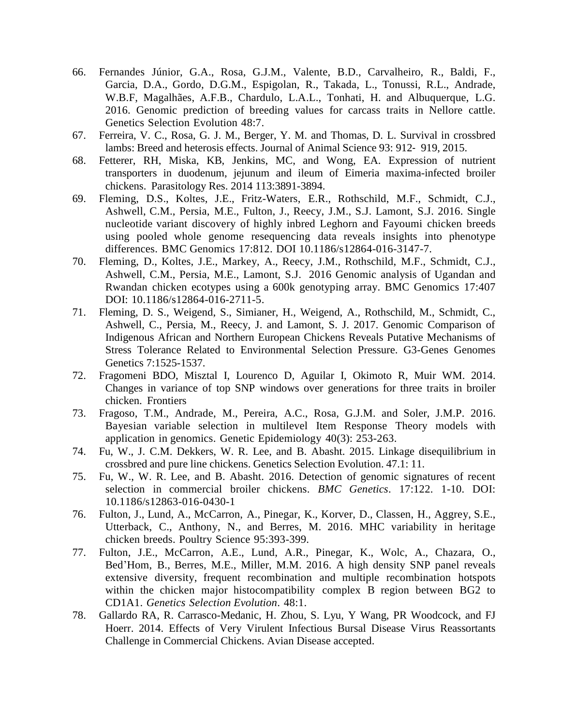- 66. Fernandes Júnior, G.A., Rosa, G.J.M., Valente, B.D., Carvalheiro, R., Baldi, F., Garcia, D.A., Gordo, D.G.M., Espigolan, R., Takada, L., Tonussi, R.L., Andrade, W.B.F, Magalhães, A.F.B., Chardulo, L.A.L., Tonhati, H. and Albuquerque, L.G. 2016. Genomic prediction of breeding values for carcass traits in Nellore cattle. Genetics Selection Evolution 48:7.
- 67. Ferreira, V. C., Rosa, G. J. M., Berger, Y. M. and Thomas, D. L. Survival in crossbred lambs: Breed and heterosis effects. Journal of Animal Science 93: 912‐ 919, 2015.
- 68. Fetterer, RH, Miska, KB, Jenkins, MC, and Wong, EA. Expression of nutrient transporters in duodenum, jejunum and ileum of Eimeria maxima-infected broiler chickens. Parasitology Res. 2014 113:3891-3894.
- 69. Fleming, D.S., Koltes, J.E., Fritz-Waters, E.R., Rothschild, M.F., Schmidt, C.J., Ashwell, C.M., Persia, M.E., Fulton, J., Reecy, J.M., S.J. Lamont, S.J. 2016. Single nucleotide variant discovery of highly inbred Leghorn and Fayoumi chicken breeds using pooled whole genome resequencing data reveals insights into phenotype differences. BMC Genomics 17:812. DOI 10.1186/s12864-016-3147-7.
- 70. Fleming, D., Koltes, J.E., Markey, A., Reecy, J.M., Rothschild, M.F., Schmidt, C.J., Ashwell, C.M., Persia, M.E., Lamont, S.J. 2016 Genomic analysis of Ugandan and Rwandan chicken ecotypes using a 600k genotyping array. BMC Genomics 17:407 DOI: 10.1186/s12864-016-2711-5.
- 71. Fleming, D. S., Weigend, S., Simianer, H., Weigend, A., Rothschild, M., Schmidt, C., Ashwell, C., Persia, M., Reecy, J. and Lamont, S. J. 2017. Genomic Comparison of Indigenous African and Northern European Chickens Reveals Putative Mechanisms of Stress Tolerance Related to Environmental Selection Pressure. G3-Genes Genomes Genetics 7:1525-1537.
- 72. Fragomeni BDO, Misztal I, Lourenco D, Aguilar I, Okimoto R, Muir WM. 2014. Changes in variance of top SNP windows over generations for three traits in broiler chicken. Frontiers
- 73. Fragoso, T.M., Andrade, M., Pereira, A.C., Rosa, G.J.M. and Soler, J.M.P. 2016. Bayesian variable selection in multilevel Item Response Theory models with application in genomics. Genetic Epidemiology 40(3): 253-263.
- 74. Fu, W., J. C.M. Dekkers, W. R. Lee, and B. Abasht. 2015. Linkage disequilibrium in crossbred and pure line chickens. Genetics Selection Evolution. 47.1: 11.
- 75. Fu, W., W. R. Lee, and B. Abasht. 2016. Detection of genomic signatures of recent selection in commercial broiler chickens. *BMC Genetics*. 17:122. 1-10. DOI: 10.1186/s12863-016-0430-1
- 76. Fulton, J., Lund, A., McCarron, A., Pinegar, K., Korver, D., Classen, H., Aggrey, S.E., Utterback, C., Anthony, N., and Berres, M. 2016. MHC variability in heritage chicken breeds. Poultry Science 95:393-399.
- 77. Fulton, J.E., McCarron, A.E., Lund, A.R., Pinegar, K., Wolc, A., Chazara, O., Bed'Hom, B., Berres, M.E., Miller, M.M. 2016. A high density SNP panel reveals extensive diversity, frequent recombination and multiple recombination hotspots within the chicken major histocompatibility complex B region between BG2 to CD1A1. *Genetics Selection Evolution*. 48:1.
- 78. Gallardo RA, R. Carrasco-Medanic, H. Zhou, S. Lyu, Y Wang, PR Woodcock, and FJ Hoerr. 2014. Effects of Very Virulent Infectious Bursal Disease Virus Reassortants Challenge in Commercial Chickens. Avian Disease accepted.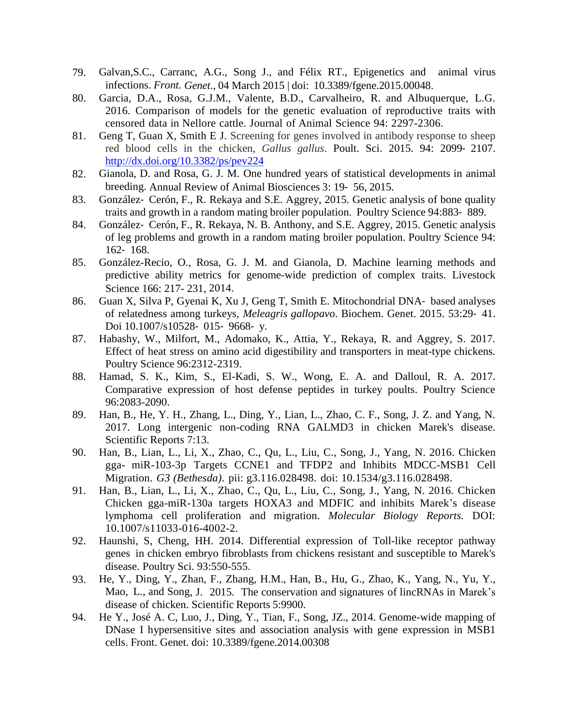- 79. Galvan,S.C., Carranc, A.G., Song J., and Félix RT., Epigenetics and animal virus infections. *Front. Genet*., 04 March 2015 | doi: 10.3389/fgene.2015.00048.
- 80. Garcia, D.A., Rosa, G.J.M., Valente, B.D., Carvalheiro, R. and Albuquerque, L.G. 2016. Comparison of models for the genetic evaluation of reproductive traits with censored data in Nellore cattle. Journal of Animal Science 94: 2297-2306.
- 81. Geng T, Guan X, Smith E J. Screening for genes involved in antibody response to sheep red blood cells in the chicken, *Gallus gallus*. Poult. Sci. 2015. 94: 2099‐ 2107. <http://dx.doi.org/10.3382/ps/pev224>
- 82. Gianola, D. and Rosa, G. J. M. One hundred years of statistical developments in animal breeding. Annual Review of Animal Biosciences 3: 19‐ 56, 2015.
- 83. González- Cerón, F., R. Rekaya and S.E. Aggrey, 2015. Genetic analysis of bone quality traits and growth in a random mating broiler population. Poultry Science 94:883‐ 889.
- 84. González- Cerón, F., R. Rekaya, N. B. Anthony, and S.E. Aggrey, 2015. Genetic analysis of leg problems and growth in a random mating broiler population. Poultry Science 94: 162‐ 168.
- 85. González-Recio, O., Rosa, G. J. M. and Gianola, D. Machine learning methods and predictive ability metrics for genome-wide prediction of complex traits. Livestock Science 166: 217- 231, 2014.
- 86. Guan X, Silva P, Gyenai K, Xu J, Geng T, Smith E. Mitochondrial DNA-based analyses of relatedness among turkeys, *Meleagris gallopavo*. Biochem. Genet. 2015. 53:29‐ 41. Doi 10.1007/s10528‐ 015‐ 9668‐ y.
- 87. Habashy, W., Milfort, M., Adomako, K., Attia, Y., Rekaya, R. and Aggrey, S. 2017. Effect of heat stress on amino acid digestibility and transporters in meat-type chickens. Poultry Science 96:2312-2319.
- 88. Hamad, S. K., Kim, S., El-Kadi, S. W., Wong, E. A. and Dalloul, R. A. 2017. Comparative expression of host defense peptides in turkey poults. Poultry Science 96:2083-2090.
- 89. Han, B., He, Y. H., Zhang, L., Ding, Y., Lian, L., Zhao, C. F., Song, J. Z. and Yang, N. 2017. Long intergenic non-coding RNA GALMD3 in chicken Marek's disease. Scientific Reports 7:13.
- 90. Han, B., Lian, L., Li, X., Zhao, C., Qu, L., Liu, C., Song, J., Yang, N. 2016. Chicken gga- miR-103-3p Targets CCNE1 and TFDP2 and Inhibits MDCC-MSB1 Cell Migration. *G3 (Bethesda)*. pii: g3.116.028498. doi: 10.1534/g3.116.028498.
- 91. Han, B., Lian, L., Li, X., Zhao, C., Qu, L., Liu, C., Song, J., Yang, N. 2016. Chicken Chicken gga-miR-130a targets HOXA3 and MDFIC and inhibits Marek's disease lymphoma cell proliferation and migration. *Molecular Biology Reports.* DOI: 10.1007/s11033-016-4002-2.
- 92. Haunshi, S, Cheng, HH. 2014. Differential expression of Toll-like receptor pathway genes in chicken embryo fibroblasts from chickens resistant and susceptible to Marek's disease. Poultry Sci. 93:550-555.
- 93. He, Y., Ding, Y., Zhan, F., Zhang, H.M., Han, B., Hu, G., Zhao, K., Yang, N., Yu, Y., Mao, L., and Song, J. 2015. The conservation and signatures of lincRNAs in Marek's disease of chicken. Scientific Reports 5:9900.
- 94. He Y., José A. C, Luo, J., Ding, Y., Tian, F., Song, JZ., 2014. Genome-wide mapping of DNase I hypersensitive sites and association analysis with gene expression in MSB1 cells. Front. Genet. doi: 10.3389/fgene.2014.00308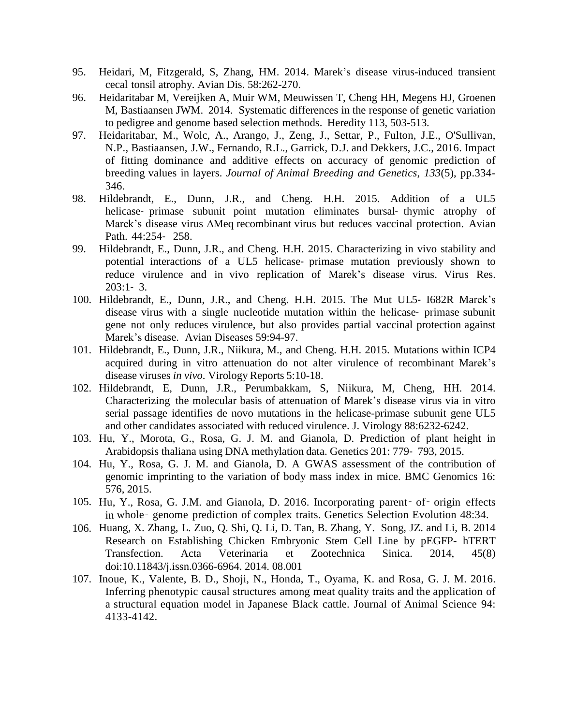- 95. Heidari, M, Fitzgerald, S, Zhang, HM. 2014. Marek's disease virus-induced transient cecal tonsil atrophy. Avian Dis. 58:262-270.
- 96. Heidaritabar M, Vereijken A, Muir WM, Meuwissen T, Cheng HH, Megens HJ, Groenen M, Bastiaansen JWM. 2014. Systematic differences in the response of genetic variation to pedigree and genome based selection methods. Heredity 113, 503-513.
- 97. Heidaritabar, M., Wolc, A., Arango, J., Zeng, J., Settar, P., Fulton, J.E., O'Sullivan, N.P., Bastiaansen, J.W., Fernando, R.L., Garrick, D.J. and Dekkers, J.C., 2016. Impact of fitting dominance and additive effects on accuracy of genomic prediction of breeding values in layers. *Journal of Animal Breeding and Genetics*, *133*(5), pp.334- 346.
- 98. Hildebrandt, E., Dunn, J.R., and Cheng. H.H. 2015. Addition of a UL5 helicase- primase subunit point mutation eliminates bursal- thymic atrophy of Marek's disease virus ∆Meq recombinant virus but reduces vaccinal protection. Avian Path. 44:254‐ 258.
- 99. Hildebrandt, E., Dunn, J.R., and Cheng. H.H. 2015. Characterizing in vivo stability and potential interactions of a UL5 helicase‐ primase mutation previously shown to reduce virulence and in vivo replication of Marek's disease virus. Virus Res.  $203:1 - 3$ .
- 100. Hildebrandt, E., Dunn, J.R., and Cheng. H.H. 2015. The Mut UL5‐ I682R Marek's disease virus with a single nucleotide mutation within the helicase‐ primase subunit gene not only reduces virulence, but also provides partial vaccinal protection against Marek's disease. Avian Diseases 59:94-97.
- 101. Hildebrandt, E., Dunn, J.R., Niikura, M., and Cheng. H.H. 2015. Mutations within ICP4 acquired during in vitro attenuation do not alter virulence of recombinant Marek's disease viruses *in vivo*. Virology Reports 5:10-18.
- 102. Hildebrandt, E, Dunn, J.R., Perumbakkam, S, Niikura, M, Cheng, HH. 2014. Characterizing the molecular basis of attenuation of Marek's disease virus via in vitro serial passage identifies de novo mutations in the helicase-primase subunit gene UL5 and other candidates associated with reduced virulence. J. Virology 88:6232-6242.
- 103. Hu, Y., Morota, G., Rosa, G. J. M. and Gianola, D. Prediction of plant height in Arabidopsis thaliana using DNA methylation data. Genetics 201: 779‐ 793, 2015.
- 104. Hu, Y., Rosa, G. J. M. and Gianola, D. A GWAS assessment of the contribution of genomic imprinting to the variation of body mass index in mice. BMC Genomics 16: 576, 2015.
- 105. Hu, Y., Rosa, G. J.M. and Gianola, D. 2016. Incorporating parent‑ of‑ origin effects in whole‑ genome prediction of complex traits. Genetics Selection Evolution 48:34.
- 106. Huang, X. Zhang, L. Zuo, Q. Shi, Q. Li, D. Tan, B. Zhang, Y. Song, JZ. and Li, B. 2014 Research on Establishing Chicken Embryonic Stem Cell Line by pEGFP- hTERT Transfection. Acta Veterinaria et Zootechnica Sinica. 2014, 45(8) doi:10.11843/j.issn.0366-6964. 2014. 08.001
- 107. Inoue, K., Valente, B. D., Shoji, N., Honda, T., Oyama, K. and Rosa, G. J. M. 2016. Inferring phenotypic causal structures among meat quality traits and the application of a structural equation model in Japanese Black cattle. Journal of Animal Science 94: 4133-4142.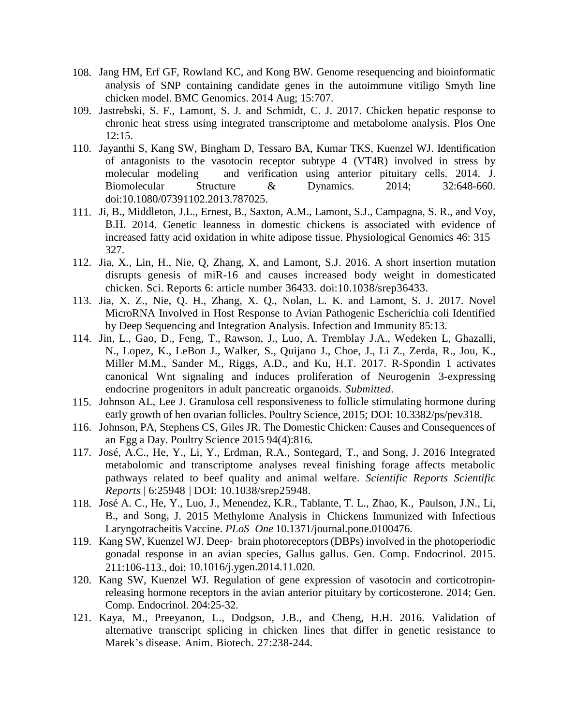- 108. Jang HM, Erf GF, Rowland KC, and Kong BW. Genome resequencing and bioinformatic analysis of SNP containing candidate genes in the autoimmune vitiligo Smyth line chicken model. BMC Genomics. 2014 Aug; 15:707.
- 109. Jastrebski, S. F., Lamont, S. J. and Schmidt, C. J. 2017. Chicken hepatic response to chronic heat stress using integrated transcriptome and metabolome analysis. Plos One 12:15.
- 110. Jayanthi S, Kang SW, Bingham D, Tessaro BA, Kumar TKS, Kuenzel WJ. Identification of antagonists to the vasotocin receptor subtype 4 (VT4R) involved in stress by molecular modeling and verification using anterior pituitary cells. 2014. J. Biomolecular Structure & Dynamics. 2014; 32:648-660. doi:10.1080/07391102.2013.787025.
- 111. Ji, B., Middleton, J.L., Ernest, B., Saxton, A.M., Lamont, S.J., Campagna, S. R., and Voy, B.H. 2014. Genetic leanness in domestic chickens is associated with evidence of increased fatty acid oxidation in white adipose tissue. Physiological Genomics 46: 315– 327.
- 112. Jia, X., Lin, H., Nie, Q, Zhang, X, and Lamont, S.J. 2016. A short insertion mutation disrupts genesis of miR-16 and causes increased body weight in domesticated chicken. Sci. Reports 6: article number 36433. doi:10.1038/srep36433.
- 113. Jia, X. Z., Nie, Q. H., Zhang, X. Q., Nolan, L. K. and Lamont, S. J. 2017. Novel MicroRNA Involved in Host Response to Avian Pathogenic Escherichia coli Identified by Deep Sequencing and Integration Analysis. Infection and Immunity 85:13.
- 114. Jin, L., Gao, D., Feng, T., Rawson, J., Luo, A. Tremblay J.A., Wedeken L, Ghazalli, N., Lopez, K., LeBon J., Walker, S., Quijano J., Choe, J., Li Z., Zerda, R., Jou, K., Miller M.M., Sander M., Riggs, A.D., and Ku, H.T. 2017. R-Spondin 1 activates canonical Wnt signaling and induces proliferation of Neurogenin 3-expressing endocrine progenitors in adult pancreatic organoids. *Submitted*.
- 115. Johnson AL, Lee J. Granulosa cell responsiveness to follicle stimulating hormone during early growth of hen ovarian follicles. Poultry Science, 2015; DOI: 10.3382/ps/pev318.
- 116. Johnson, PA, Stephens CS, Giles JR. The Domestic Chicken: Causes and Consequences of an Egg a Day. Poultry Science 2015 94(4):816.
- 117. José, A.C., He, Y., Li, Y., Erdman, R.A., Sontegard, T., and Song, J. 2016 Integrated metabolomic and transcriptome analyses reveal finishing forage affects metabolic pathways related to beef quality and animal welfare. *Scientific Reports Scientific Reports* | 6:25948 | DOI: 10.1038/srep25948.
- 118. José A. C., He, Y., Luo, J., Menendez, K.R., Tablante, T. L., Zhao, K., Paulson, J.N., Li, B., and Song, J. 2015 Methylome Analysis in Chickens Immunized with Infectious Laryngotracheitis Vaccine. *PLoS One* 10.1371/journal.pone.0100476.
- 119. Kang SW, Kuenzel WJ. Deep‐ brain photoreceptors(DBPs) involved in the photoperiodic gonadal response in an avian species, Gallus gallus. Gen. Comp. Endocrinol. 2015. 211:106-113., doi: 10.1016/j.ygen.2014.11.020.
- 120. Kang SW, Kuenzel WJ. Regulation of gene expression of vasotocin and corticotropinreleasing hormone receptors in the avian anterior pituitary by corticosterone. 2014; Gen. Comp. Endocrinol. 204:25-32.
- 121. Kaya, M., Preeyanon, L., Dodgson, J.B., and Cheng, H.H. 2016. Validation of alternative transcript splicing in chicken lines that differ in genetic resistance to Marek's disease. Anim. Biotech. 27:238-244.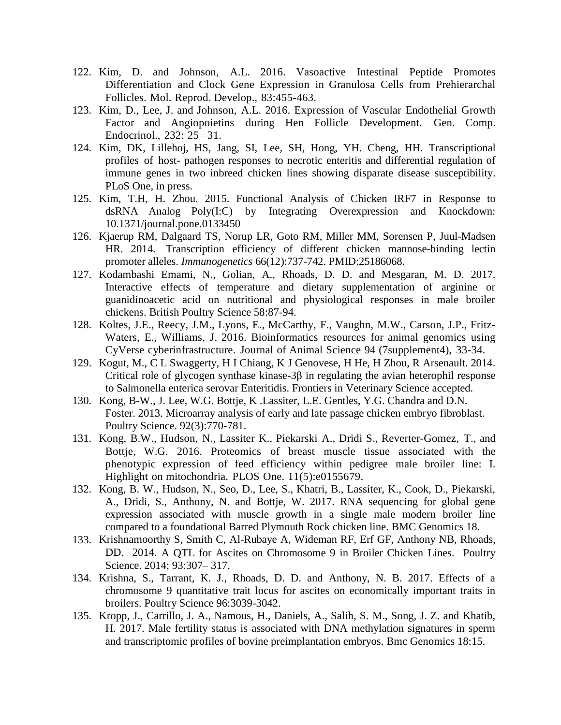- 122. Kim, D. and Johnson, A.L. 2016. Vasoactive Intestinal Peptide Promotes Differentiation and Clock Gene Expression in Granulosa Cells from Prehierarchal Follicles. Mol. Reprod. Develop., 83:455-463.
- 123. Kim, D., Lee, J. and Johnson, A.L. 2016. Expression of Vascular Endothelial Growth Factor and Angiopoietins during Hen Follicle Development. Gen. Comp. Endocrinol., 232: 25– 31.
- 124. Kim, DK, Lillehoj, HS, Jang, SI, Lee, SH, Hong, YH. Cheng, HH. Transcriptional profiles of host- pathogen responses to necrotic enteritis and differential regulation of immune genes in two inbreed chicken lines showing disparate disease susceptibility. PLoS One, in press.
- 125. Kim, T.H, H. Zhou. 2015. Functional Analysis of Chicken IRF7 in Response to dsRNA Analog Poly(I:C) by Integrating Overexpression and Knockdown: 10.1371/journal.pone.0133450
- 126. Kjaerup RM, Dalgaard TS, Norup LR, Goto RM, Miller MM, Sorensen P, Juul-Madsen HR. 2014. Transcription efficiency of different chicken mannose-binding lectin promoter alleles. *Immunogenetics* 66(12):737-742. PMID:25186068.
- 127. Kodambashi Emami, N., Golian, A., Rhoads, D. D. and Mesgaran, M. D. 2017. Interactive effects of temperature and dietary supplementation of arginine or guanidinoacetic acid on nutritional and physiological responses in male broiler chickens. British Poultry Science 58:87-94.
- 128. Koltes, J.E., Reecy, J.M., Lyons, E., McCarthy, F., Vaughn, M.W., Carson, J.P., Fritz-Waters, E., Williams, J. 2016. Bioinformatics resources for animal genomics using CyVerse cyberinfrastructure. Journal of Animal Science 94 (7supplement4), 33-34.
- 129. Kogut, M., C L Swaggerty, H I Chiang, K J Genovese, H He, H Zhou, R Arsenault. 2014. Critical role of glycogen synthase kinase-3β in regulating the avian heterophil response to Salmonella enterica serovar Enteritidis. Frontiers in Veterinary Science accepted.
- 130. Kong, B-W., J. Lee, W.G. Bottje, K .Lassiter, L.E. Gentles, Y.G. Chandra and D.N. Foster. 2013. Microarray analysis of early and late passage chicken embryo fibroblast. Poultry Science. 92(3):770-781.
- 131. Kong, B.W., Hudson, N., Lassiter K., Piekarski A., Dridi S., Reverter-Gomez, T., and Bottje, W.G. 2016. Proteomics of breast muscle tissue associated with the phenotypic expression of feed efficiency within pedigree male broiler line: I. Highlight on mitochondria. PLOS One. 11(5):e0155679.
- 132. Kong, B. W., Hudson, N., Seo, D., Lee, S., Khatri, B., Lassiter, K., Cook, D., Piekarski, A., Dridi, S., Anthony, N. and Bottje, W. 2017. RNA sequencing for global gene expression associated with muscle growth in a single male modern broiler line compared to a foundational Barred Plymouth Rock chicken line. BMC Genomics 18.
- 133. Krishnamoorthy S, Smith C, Al-Rubaye A, Wideman RF, Erf GF, Anthony NB, Rhoads, DD. 2014. A QTL for Ascites on Chromosome 9 in Broiler Chicken Lines. Poultry Science. 2014; 93:307– 317.
- 134. Krishna, S., Tarrant, K. J., Rhoads, D. D. and Anthony, N. B. 2017. Effects of a chromosome 9 quantitative trait locus for ascites on economically important traits in broilers. Poultry Science 96:3039-3042.
- 135. Kropp, J., Carrillo, J. A., Namous, H., Daniels, A., Salih, S. M., Song, J. Z. and Khatib, H. 2017. Male fertility status is associated with DNA methylation signatures in sperm and transcriptomic profiles of bovine preimplantation embryos. Bmc Genomics 18:15.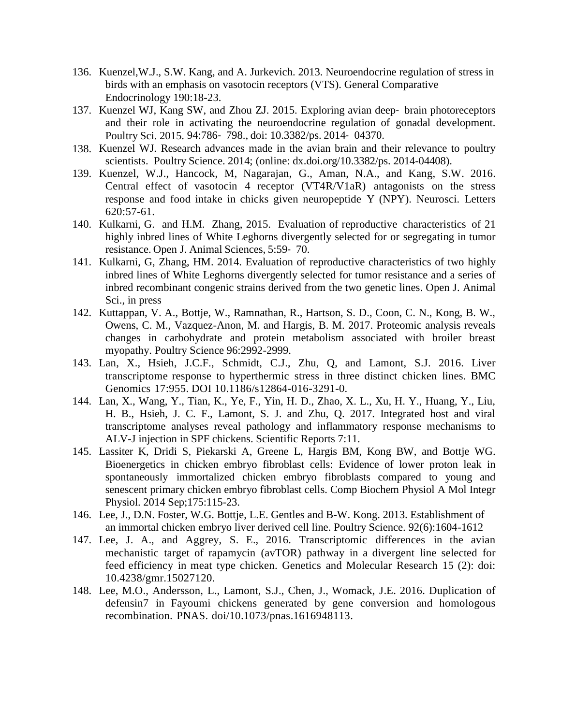- 136. Kuenzel,W.J., S.W. Kang, and A. Jurkevich. 2013. Neuroendocrine regulation of stress in birds with an emphasis on vasotocin receptors (VTS). General Comparative Endocrinology 190:18-23.
- 137. Kuenzel WJ, Kang SW, and Zhou ZJ. 2015. Exploring avian deep‐ brain photoreceptors and their role in activating the neuroendocrine regulation of gonadal development. Poultry Sci. 2015. 94:786‐ 798., doi: 10.3382/ps. 2014‐ 04370.
- 138. Kuenzel WJ. Research advances made in the avian brain and their relevance to poultry scientists. Poultry Science. 2014; (online: dx.doi.org/10.3382/ps. 2014-04408).
- 139. Kuenzel, W.J., Hancock, M, Nagarajan, G., Aman, N.A., and Kang, S.W. 2016. Central effect of vasotocin 4 receptor (VT4R/V1aR) antagonists on the stress response and food intake in chicks given neuropeptide Y (NPY). Neurosci. Letters 620:57-61.
- 140. Kulkarni, G. and H.M. Zhang, 2015. Evaluation of reproductive characteristics of 21 highly inbred lines of White Leghorns divergently selected for or segregating in tumor resistance. Open J. Animal Sciences, 5:59‐ 70.
- 141. Kulkarni, G, Zhang, HM. 2014. Evaluation of reproductive characteristics of two highly inbred lines of White Leghorns divergently selected for tumor resistance and a series of inbred recombinant congenic strains derived from the two genetic lines. Open J. Animal Sci., in press
- 142. Kuttappan, V. A., Bottje, W., Ramnathan, R., Hartson, S. D., Coon, C. N., Kong, B. W., Owens, C. M., Vazquez-Anon, M. and Hargis, B. M. 2017. Proteomic analysis reveals changes in carbohydrate and protein metabolism associated with broiler breast myopathy. Poultry Science 96:2992-2999.
- 143. Lan, X., Hsieh, J.C.F., Schmidt, C.J., Zhu, Q, and Lamont, S.J. 2016. Liver transcriptome response to hyperthermic stress in three distinct chicken lines. BMC Genomics 17:955. DOI 10.1186/s12864-016-3291-0.
- 144. Lan, X., Wang, Y., Tian, K., Ye, F., Yin, H. D., Zhao, X. L., Xu, H. Y., Huang, Y., Liu, H. B., Hsieh, J. C. F., Lamont, S. J. and Zhu, Q. 2017. Integrated host and viral transcriptome analyses reveal pathology and inflammatory response mechanisms to ALV-J injection in SPF chickens. Scientific Reports 7:11.
- 145. Lassiter K, Dridi S, Piekarski A, Greene L, Hargis BM, Kong BW, and Bottje WG. Bioenergetics in chicken embryo fibroblast cells: Evidence of lower proton leak in spontaneously immortalized chicken embryo fibroblasts compared to young and senescent primary chicken embryo fibroblast cells. Comp Biochem Physiol A Mol Integr Physiol. 2014 Sep;175:115-23.
- 146. Lee, J., D.N. Foster, W.G. Bottje, L.E. Gentles and B-W. Kong. 2013. Establishment of an immortal chicken embryo liver derived cell line. Poultry Science. 92(6):1604-1612
- 147. Lee, J. A., and Aggrey, S. E., 2016. Transcriptomic differences in the avian mechanistic target of rapamycin (avTOR) pathway in a divergent line selected for feed efficiency in meat type chicken. Genetics and Molecular Research 15 (2): doi: 10.4238/gmr.15027120.
- 148. Lee, M.O., Andersson, L., Lamont, S.J., Chen, J., Womack, J.E. 2016. Duplication of defensin7 in Fayoumi chickens generated by gene conversion and homologous recombination. PNAS. doi/10.1073/pnas.1616948113.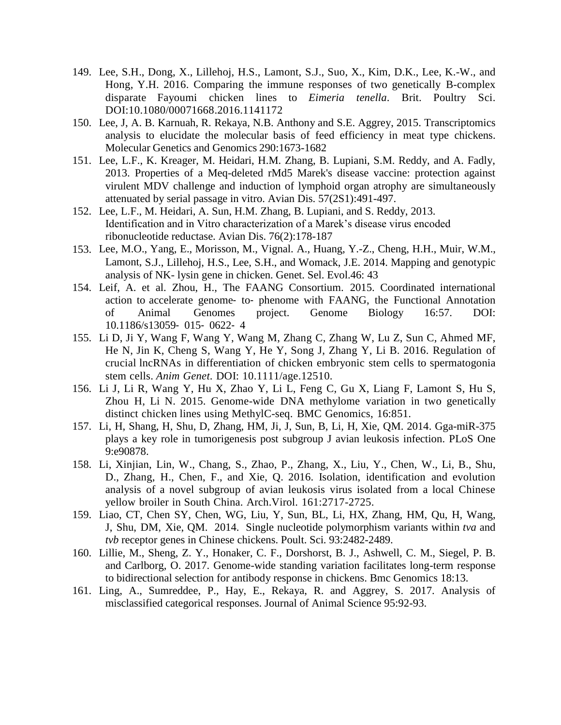- 149. Lee, S.H., Dong, X., Lillehoj, H.S., Lamont, S.J., Suo, X., Kim, D.K., Lee, K.-W., and Hong, Y.H. 2016. Comparing the immune responses of two genetically B-complex disparate Fayoumi chicken lines to *Eimeria tenella*. Brit. Poultry Sci. DOI:10.1080/00071668.2016.1141172
- 150. Lee, J, A. B. Karnuah, R. Rekaya, N.B. Anthony and S.E. Aggrey, 2015. Transcriptomics analysis to elucidate the molecular basis of feed efficiency in meat type chickens. Molecular Genetics and Genomics 290:1673-1682
- 151. Lee, L.F., K. Kreager, M. Heidari, H.M. Zhang, B. Lupiani, S.M. Reddy, and A. Fadly, 2013. Properties of a Meq-deleted rMd5 Marek's disease vaccine: protection against virulent MDV challenge and induction of lymphoid organ atrophy are simultaneously attenuated by serial passage in vitro. Avian Dis. 57(2S1):491-497.
- 152. Lee, L.F., M. Heidari, A. Sun, H.M. Zhang, B. Lupiani, and S. Reddy, 2013. Identification and in Vitro characterization of a Marek's disease virus encoded ribonucleotide reductase. Avian Dis. 76(2):178-187
- 153. Lee, M.O., Yang, E., Morisson, M., Vignal. A., Huang, Y.-Z., Cheng, H.H., Muir, W.M., Lamont, S.J., Lillehoj, H.S., Lee, S.H., and Womack, J.E. 2014. Mapping and genotypic analysis of NK- lysin gene in chicken. Genet. Sel. Evol.46: 43
- 154. Leif, A. et al. Zhou, H., The FAANG Consortium. 2015. Coordinated international action to accelerate genome‐ to‐ phenome with FAANG, the Functional Annotation of Animal Genomes project. Genome Biology 16:57. DOI: 10.1186/s13059‐ 015‐ 0622‐ 4
- 155. Li D, Ji Y, Wang F, Wang Y, Wang M, Zhang C, Zhang W, Lu Z, Sun C, Ahmed MF, He N, Jin K, Cheng S, Wang Y, He Y, Song J, Zhang Y, Li B. 2016. Regulation of crucial lncRNAs in differentiation of chicken embryonic stem cells to spermatogonia stem cells. *Anim Genet*. DOI: 10.1111/age.12510.
- 156. Li J, Li R, Wang Y, Hu X, Zhao Y, Li L, Feng C, Gu X, Liang F, Lamont S, Hu S, Zhou H, Li N. 2015. Genome-wide DNA methylome variation in two genetically distinct chicken lines using MethylC-seq. BMC Genomics, 16:851.
- 157. Li, H, Shang, H, Shu, D, Zhang, HM, Ji, J, Sun, B, Li, H, Xie, QM. 2014. Gga-miR-375 plays a key role in tumorigenesis post subgroup J avian leukosis infection. PLoS One 9:e90878.
- 158. Li, Xinjian, Lin, W., Chang, S., Zhao, P., Zhang, X., Liu, Y., Chen, W., Li, B., Shu, D., Zhang, H., Chen, F., and Xie, Q. 2016. Isolation, identification and evolution analysis of a novel subgroup of avian leukosis virus isolated from a local Chinese yellow broiler in South China. Arch.Virol. 161:2717-2725.
- 159. Liao, CT, Chen SY, Chen, WG, Liu, Y, Sun, BL, Li, HX, Zhang, HM, Qu, H, Wang, J, Shu, DM, Xie, QM. 2014. Single nucleotide polymorphism variants within *tva* and *tvb* receptor genes in Chinese chickens. Poult. Sci. 93:2482-2489.
- 160. Lillie, M., Sheng, Z. Y., Honaker, C. F., Dorshorst, B. J., Ashwell, C. M., Siegel, P. B. and Carlborg, O. 2017. Genome-wide standing variation facilitates long-term response to bidirectional selection for antibody response in chickens. Bmc Genomics 18:13.
- 161. Ling, A., Sumreddee, P., Hay, E., Rekaya, R. and Aggrey, S. 2017. Analysis of misclassified categorical responses. Journal of Animal Science 95:92-93.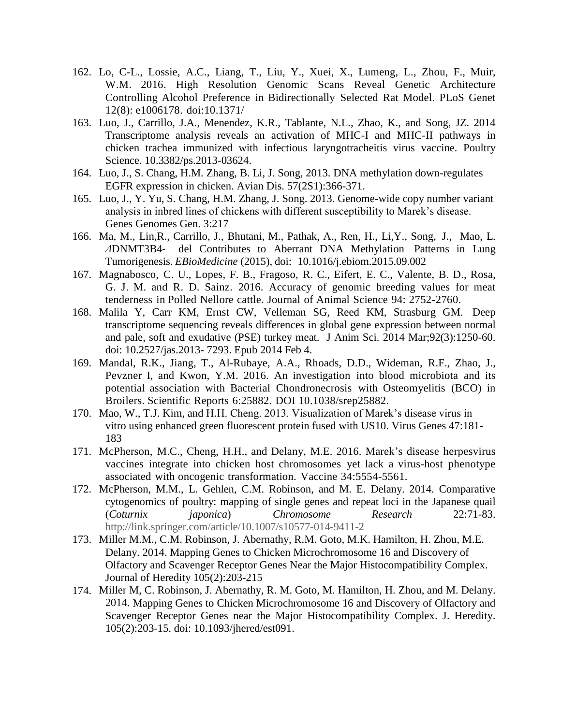- 162. Lo, C-L., Lossie, A.C., Liang, T., Liu, Y., Xuei, X., Lumeng, L., Zhou, F., Muir, W.M. 2016. High Resolution Genomic Scans Reveal Genetic Architecture Controlling Alcohol Preference in Bidirectionally Selected Rat Model. PLoS Genet 12(8): e1006178. doi:10.1371/
- 163. Luo, J., Carrillo, J.A., Menendez, K.R., Tablante, N.L., Zhao, K., and Song, JZ. 2014 Transcriptome analysis reveals an activation of MHC-I and MHC-II pathways in chicken trachea immunized with infectious laryngotracheitis virus vaccine. Poultry Science. 10.3382/ps.2013-03624.
- 164. Luo, J., S. Chang, H.M. Zhang, B. Li, J. Song, 2013. DNA methylation down-regulates EGFR expression in chicken. Avian Dis. 57(2S1):366-371.
- 165. Luo, J., Y. Yu, S. Chang, H.M. Zhang, J. Song. 2013. Genome-wide copy number variant analysis in inbred lines of chickens with different susceptibility to Marek's disease. Genes Genomes Gen. 3:217
- 166. Ma, M., Lin,R., Carrillo, J., Bhutani, M., Pathak, A., Ren, H., Li,Y., Song, J., Mao, L. *Δ*DNMT3B4‐ del Contributes to Aberrant DNA Methylation Patterns in Lung Tumorigenesis. *EBioMedicine* (2015), doi: 10.1016/j.ebiom.2015.09.002
- 167. Magnabosco, C. U., Lopes, F. B., Fragoso, R. C., Eifert, E. C., Valente, B. D., Rosa, G. J. M. and R. D. Sainz. 2016. Accuracy of genomic breeding values for meat tenderness in Polled Nellore cattle. Journal of Animal Science 94: 2752-2760.
- 168. Malila Y, Carr KM, Ernst CW, Velleman SG, Reed KM, Strasburg GM. Deep transcriptome sequencing reveals differences in global gene expression between normal and pale, soft and exudative (PSE) turkey meat. J Anim Sci. 2014 Mar;92(3):1250-60. doi: 10.2527/jas.2013- 7293. Epub 2014 Feb 4.
- 169. Mandal, R.K., Jiang, T., Al-Rubaye, A.A., Rhoads, D.D., Wideman, R.F., Zhao, J., Pevzner I, and Kwon, Y.M. 2016. An investigation into blood microbiota and its potential association with Bacterial Chondronecrosis with Osteomyelitis (BCO) in Broilers. Scientific Reports 6:25882. DOI 10.1038/srep25882.
- 170. Mao, W., T.J. Kim, and H.H. Cheng. 2013. Visualization of Marek's disease virus in vitro using enhanced green fluorescent protein fused with US10. Virus Genes 47:181- 183
- 171. McPherson, M.C., Cheng, H.H., and Delany, M.E. 2016. Marek's disease herpesvirus vaccines integrate into chicken host chromosomes yet lack a virus-host phenotype associated with oncogenic transformation. Vaccine 34:5554-5561.
- 172. McPherson, M.M., L. Gehlen, C.M. Robinson, and M. E. Delany. 2014. Comparative cytogenomics of poultry: mapping of single genes and repeat loci in the Japanese quail (*Coturnix japonica*) *Chromosome Research* 22:71-83. [http://link.springer.com/article/10.1007/s10577-014-9411-2](http://www.springer.com/alert/urltracking.do?id=L46f6aaaMe8d02bSab283c4)
- 173. Miller M.M., C.M. Robinson, J. Abernathy, R.M. Goto, M.K. Hamilton, H. Zhou, M.E. Delany. 2014. Mapping Genes to Chicken Microchromosome 16 and Discovery of Olfactory and Scavenger Receptor Genes Near the Major Histocompatibility Complex. Journal of Heredity 105(2):203-215
- 174. Miller M, C. Robinson, J. Abernathy, R. M. Goto, M. Hamilton, H. Zhou, and M. Delany. 2014. Mapping Genes to Chicken Microchromosome 16 and Discovery of Olfactory and Scavenger Receptor Genes near the Major Histocompatibility Complex. J. Heredity. 105(2):203-15. doi: 10.1093/jhered/est091.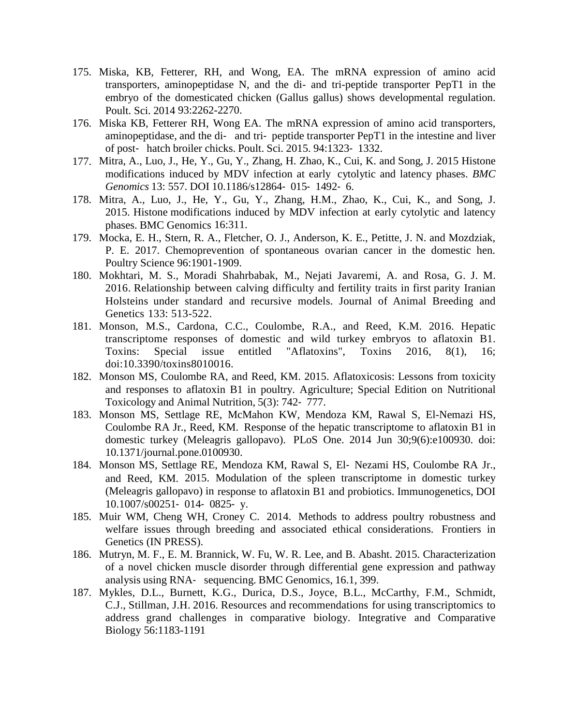- 175. Miska, KB, Fetterer, RH, and Wong, EA. The mRNA expression of amino acid transporters, aminopeptidase N, and the di- and tri-peptide transporter PepT1 in the embryo of the domesticated chicken (Gallus gallus) shows developmental regulation. Poult. Sci. 2014 93:2262-2270.
- 176. Miska KB, Fetterer RH, Wong EA. The mRNA expression of amino acid transporters, aminopeptidase, and the di‐ and tri‐ peptide transporter PepT1 in the intestine and liver of post‐ hatch broiler chicks. Poult. Sci. 2015. 94:1323‐ 1332.
- 177. Mitra, A., Luo, J., He, Y., Gu, Y., Zhang, H. Zhao, K., Cui, K. and Song, J. 2015 Histone modifications induced by MDV infection at early cytolytic and latency phases. *BMC Genomics* 13: 557. DOI 10.1186/s12864‐ 015‐ 1492‐ 6.
- 178. Mitra, A., Luo, J., He, Y., Gu, Y., Zhang, H.M., Zhao, K., Cui, K., and Song, J. 2015. Histone modifications induced by MDV infection at early cytolytic and latency phases. BMC Genomics 16:311.
- 179. Mocka, E. H., Stern, R. A., Fletcher, O. J., Anderson, K. E., Petitte, J. N. and Mozdziak, P. E. 2017. Chemoprevention of spontaneous ovarian cancer in the domestic hen. Poultry Science 96:1901-1909.
- 180. Mokhtari, M. S., Moradi Shahrbabak, M., Nejati Javaremi, A. and Rosa, G. J. M. 2016. Relationship between calving difficulty and fertility traits in first parity Iranian Holsteins under standard and recursive models. Journal of Animal Breeding and Genetics 133: 513-522.
- 181. Monson, M.S., Cardona, C.C., Coulombe, R.A., and Reed, K.M. 2016. Hepatic transcriptome responses of domestic and wild turkey embryos to aflatoxin B1. Toxins: Special issue entitled "Aflatoxins", Toxins 2016, 8(1), 16; doi:10.3390/toxins8010016.
- 182. Monson MS, Coulombe RA, and Reed, KM. 2015. Aflatoxicosis: Lessons from toxicity and responses to aflatoxin B1 in poultry. Agriculture; Special Edition on Nutritional Toxicology and Animal Nutrition, 5(3): 742‐ 777.
- 183. Monson MS, Settlage RE, McMahon KW, Mendoza KM, Rawal S, El-Nemazi HS, Coulombe RA Jr., Reed, KM. Response of the hepatic transcriptome to aflatoxin B1 in domestic turkey (Meleagris gallopavo). PLoS One. 2014 Jun 30;9(6):e100930. doi: 10.1371/journal.pone.0100930.
- 184. Monson MS, Settlage RE, Mendoza KM, Rawal S, El‐ Nezami HS, Coulombe RA Jr., and Reed, KM. 2015. Modulation of the spleen transcriptome in domestic turkey (Meleagris gallopavo) in response to aflatoxin B1 and probiotics. Immunogenetics, DOI 10.1007/s00251‐ 014‐ 0825‐ y.
- 185. Muir WM, Cheng WH, Croney C. 2014. Methods to address poultry robustness and welfare issues through breeding and associated ethical considerations. Frontiers in Genetics (IN PRESS).
- 186. Mutryn, M. F., E. M. Brannick, W. Fu, W. R. Lee, and B. Abasht. 2015. Characterization of a novel chicken muscle disorder through differential gene expression and pathway analysis using RNA‐ sequencing. BMC Genomics, 16.1, 399.
- 187. Mykles, D.L., Burnett, K.G., Durica, D.S., Joyce, B.L., McCarthy, F.M., Schmidt, C.J., Stillman, J.H. 2016. Resources and recommendations for using transcriptomics to address grand challenges in comparative biology. Integrative and Comparative Biology 56:1183-1191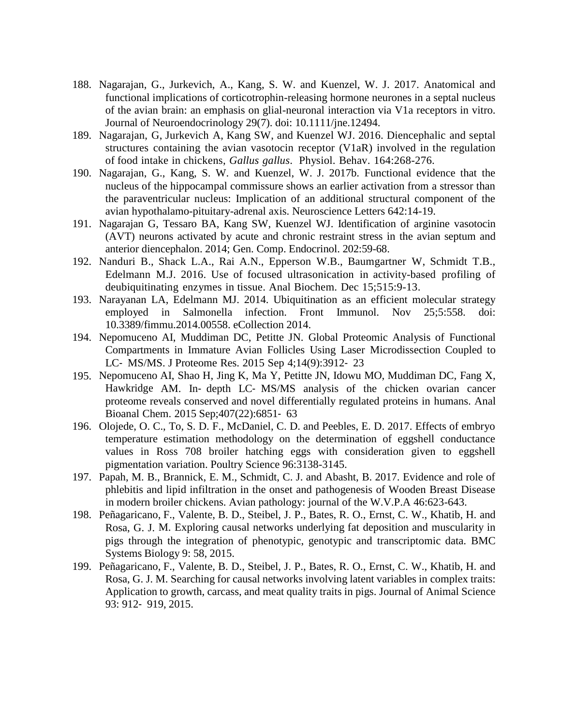- 188. Nagarajan, G., Jurkevich, A., Kang, S. W. and Kuenzel, W. J. 2017. Anatomical and functional implications of corticotrophin-releasing hormone neurones in a septal nucleus of the avian brain: an emphasis on glial-neuronal interaction via V1a receptors in vitro. Journal of Neuroendocrinology 29(7). doi: 10.1111/jne.12494.
- 189. Nagarajan, G, Jurkevich A, Kang SW, and Kuenzel WJ. 2016. Diencephalic and septal structures containing the avian vasotocin receptor (V1aR) involved in the regulation of food intake in chickens, *Gallus gallus*. Physiol. Behav. 164:268-276.
- 190. Nagarajan, G., Kang, S. W. and Kuenzel, W. J. 2017b. Functional evidence that the nucleus of the hippocampal commissure shows an earlier activation from a stressor than the paraventricular nucleus: Implication of an additional structural component of the avian hypothalamo-pituitary-adrenal axis. Neuroscience Letters 642:14-19.
- 191. Nagarajan G, Tessaro BA, Kang SW, Kuenzel WJ. Identification of arginine vasotocin (AVT) neurons activated by acute and chronic restraint stress in the avian septum and anterior diencephalon. 2014; Gen. Comp. Endocrinol. 202:59-68.
- 192. Nanduri B., Shack L.A., Rai A.N., Epperson W.B., Baumgartner W, Schmidt T.B., Edelmann M.J. 2016. Use of focused ultrasonication in activity-based profiling of deubiquitinating enzymes in tissue. Anal Biochem. Dec 15;515:9-13.
- 193. Narayanan LA, Edelmann MJ. 2014. Ubiquitination as an efficient molecular strategy employed in Salmonella infection. Front Immunol. Nov 25;5:558. doi: 10.3389/fimmu.2014.00558. eCollection 2014.
- 194. Nepomuceno AI, Muddiman DC, Petitte JN. Global Proteomic Analysis of Functional Compartments in Immature Avian Follicles Using Laser Microdissection Coupled to LC‐ MS/MS. J Proteome Res. 2015 Sep 4;14(9):3912‐ 23
- 195. Nepomuceno AI, Shao H, Jing K, Ma Y, Petitte JN, Idowu MO, Muddiman DC, Fang X, Hawkridge AM. In‐ depth LC‐ MS/MS analysis of the chicken ovarian cancer proteome reveals conserved and novel differentially regulated proteins in humans. Anal Bioanal Chem. 2015 Sep;407(22):6851‐ 63
- 196. Olojede, O. C., To, S. D. F., McDaniel, C. D. and Peebles, E. D. 2017. Effects of embryo temperature estimation methodology on the determination of eggshell conductance values in Ross 708 broiler hatching eggs with consideration given to eggshell pigmentation variation. Poultry Science 96:3138-3145.
- 197. Papah, M. B., Brannick, E. M., Schmidt, C. J. and Abasht, B. 2017. Evidence and role of phlebitis and lipid infiltration in the onset and pathogenesis of Wooden Breast Disease in modern broiler chickens. Avian pathology: journal of the W.V.P.A 46:623-643.
- 198. Peñagaricano, F., Valente, B. D., Steibel, J. P., Bates, R. O., Ernst, C. W., Khatib, H. and Rosa, G. J. M. Exploring causal networks underlying fat deposition and muscularity in pigs through the integration of phenotypic, genotypic and transcriptomic data. BMC Systems Biology 9: 58, 2015.
- 199. Peñagaricano, F., Valente, B. D., Steibel, J. P., Bates, R. O., Ernst, C. W., Khatib, H. and Rosa, G. J. M. Searching for causal networks involving latent variables in complex traits: Application to growth, carcass, and meat quality traits in pigs. Journal of Animal Science 93: 912‐ 919, 2015.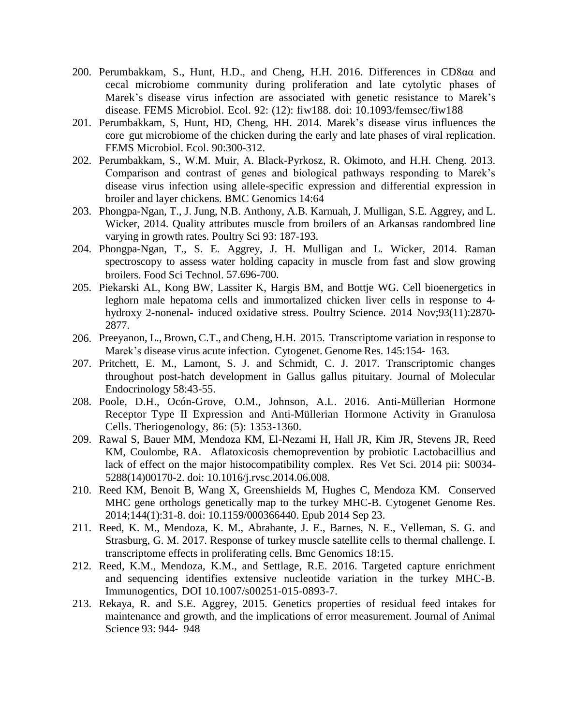- 200. Perumbakkam, S., Hunt, H.D., and Cheng, H.H. 2016. Differences in CD8αα and cecal microbiome community during proliferation and late cytolytic phases of Marek's disease virus infection are associated with genetic resistance to Marek's disease. FEMS Microbiol. Ecol. 92: (12): fiw188. doi: 10.1093/femsec/fiw188
- 201. Perumbakkam, S, Hunt, HD, Cheng, HH. 2014. Marek's disease virus influences the core gut microbiome of the chicken during the early and late phases of viral replication. FEMS Microbiol. Ecol. 90:300-312.
- 202. Perumbakkam, S., W.M. Muir, A. Black-Pyrkosz, R. Okimoto, and H.H. Cheng. 2013. Comparison and contrast of genes and biological pathways responding to Marek's disease virus infection using allele-specific expression and differential expression in broiler and layer chickens. BMC Genomics 14:64
- 203. Phongpa-Ngan, T., J. Jung, N.B. Anthony, A.B. Karnuah, J. Mulligan, S.E. Aggrey, and L. Wicker, 2014. Quality attributes muscle from broilers of an Arkansas randombred line varying in growth rates. Poultry Sci 93: 187-193.
- 204. Phongpa-Ngan, T., S. E. Aggrey, J. H. Mulligan and L. Wicker, 2014. Raman spectroscopy to assess water holding capacity in muscle from fast and slow growing broilers. Food Sci Technol. 57.696-700.
- 205. Piekarski AL, Kong BW, Lassiter K, Hargis BM, and Bottje WG. Cell bioenergetics in leghorn male hepatoma cells and immortalized chicken liver cells in response to 4 hydroxy 2-nonenal- induced oxidative stress. Poultry Science. 2014 Nov;93(11):2870- 2877.
- 206. Preeyanon, L., Brown, C.T., and Cheng, H.H. 2015. Transcriptome variation in response to Marek's disease virus acute infection. Cytogenet. Genome Res. 145:154‐ 163.
- 207. Pritchett, E. M., Lamont, S. J. and Schmidt, C. J. 2017. Transcriptomic changes throughout post-hatch development in Gallus gallus pituitary. Journal of Molecular Endocrinology 58:43-55.
- 208. Poole, D.H., Ocón-Grove, O.M., Johnson, A.L. 2016. Anti-Müllerian Hormone Receptor Type II Expression and Anti-Müllerian Hormone Activity in Granulosa Cells. Theriogenology, 86: (5): 1353-1360.
- 209. Rawal S, Bauer MM, Mendoza KM, El-Nezami H, Hall JR, Kim JR, Stevens JR, Reed KM, Coulombe, RA. Aflatoxicosis chemoprevention by probiotic Lactobacillius and lack of effect on the major histocompatibility complex. Res Vet Sci. 2014 pii: S0034- 5288(14)00170-2. doi: 10.1016/j.rvsc.2014.06.008.
- 210. Reed KM, Benoit B, Wang X, Greenshields M, Hughes C, Mendoza KM. Conserved MHC gene orthologs genetically map to the turkey MHC-B. Cytogenet Genome Res. 2014;144(1):31-8. doi: 10.1159/000366440. Epub 2014 Sep 23.
- 211. Reed, K. M., Mendoza, K. M., Abrahante, J. E., Barnes, N. E., Velleman, S. G. and Strasburg, G. M. 2017. Response of turkey muscle satellite cells to thermal challenge. I. transcriptome effects in proliferating cells. Bmc Genomics 18:15.
- 212. Reed, K.M., Mendoza, K.M., and Settlage, R.E. 2016. Targeted capture enrichment and sequencing identifies extensive nucleotide variation in the turkey MHC-B. Immunogentics, DOI 10.1007/s00251-015-0893-7.
- 213. Rekaya, R. and S.E. Aggrey, 2015. Genetics properties of residual feed intakes for maintenance and growth, and the implications of error measurement. Journal of Animal Science 93: 944‐ 948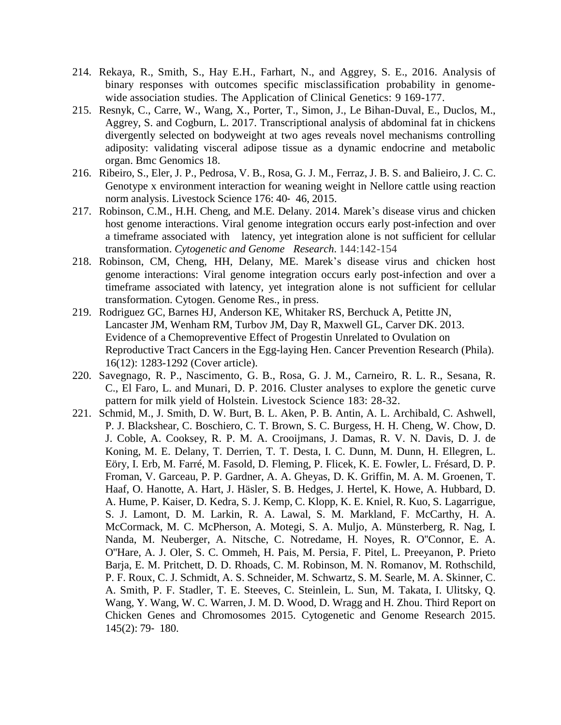- 214. Rekaya, R., Smith, S., Hay E.H., Farhart, N., and Aggrey, S. E., 2016. Analysis of binary responses with outcomes specific misclassification probability in genomewide association studies. The Application of Clinical Genetics: 9 169-177.
- 215. Resnyk, C., Carre, W., Wang, X., Porter, T., Simon, J., Le Bihan-Duval, E., Duclos, M., Aggrey, S. and Cogburn, L. 2017. Transcriptional analysis of abdominal fat in chickens divergently selected on bodyweight at two ages reveals novel mechanisms controlling adiposity: validating visceral adipose tissue as a dynamic endocrine and metabolic organ. Bmc Genomics 18.
- 216. Ribeiro, S., Eler, J. P., Pedrosa, V. B., Rosa, G. J. M., Ferraz, J. B. S. and Balieiro, J. C. C. Genotype x environment interaction for weaning weight in Nellore cattle using reaction norm analysis. Livestock Science 176: 40‐ 46, 2015.
- 217. Robinson, C.M., H.H. Cheng, and M.E. Delany. 2014. Marek's disease virus and chicken host genome interactions. Viral genome integration occurs early post-infection and over a timeframe associated with latency, yet integration alone is not sufficient for cellular transformation. *Cytogenetic and Genome Research*. 144:142-154
- 218. Robinson, CM, Cheng, HH, Delany, ME. Marek's disease virus and chicken host genome interactions: Viral genome integration occurs early post-infection and over a timeframe associated with latency, yet integration alone is not sufficient for cellular transformation. Cytogen. Genome Res., in press.
- 219. Rodriguez GC, Barnes HJ, Anderson KE, Whitaker RS, Berchuck A, Petitte JN, Lancaster JM, Wenham RM, Turbov JM, Day R, Maxwell GL, Carver DK. 2013. Evidence of a Chemopreventive Effect of Progestin Unrelated to Ovulation on Reproductive Tract Cancers in the Egg-laying Hen. Cancer Prevention Research (Phila). 16(12): 1283-1292 (Cover article).
- 220. Savegnago, R. P., Nascimento, G. B., Rosa, G. J. M., Carneiro, R. L. R., Sesana, R. C., El Faro, L. and Munari, D. P. 2016. Cluster analyses to explore the genetic curve pattern for milk yield of Holstein. Livestock Science 183: 28-32.
- 221. Schmid, M., J. Smith, D. W. Burt, B. L. Aken, P. B. Antin, A. L. Archibald, C. Ashwell, P. J. Blackshear, C. Boschiero, C. T. Brown, S. C. Burgess, H. H. Cheng, W. Chow, D. J. Coble, A. Cooksey, R. P. M. A. Crooijmans, J. Damas, R. V. N. Davis, D. J. de Koning, M. E. Delany, T. Derrien, T. T. Desta, I. C. Dunn, M. Dunn, H. Ellegren, L. Eöry, I. Erb, M. Farré, M. Fasold, D. Fleming, P. Flicek, K. E. Fowler, L. Frésard, D. P. Froman, V. Garceau, P. P. Gardner, A. A. Gheyas, D. K. Griffin, M. A. M. Groenen, T. Haaf, O. Hanotte, A. Hart, J. Häsler, S. B. Hedges, J. Hertel, K. Howe, A. Hubbard, D. A. Hume, P. Kaiser, D. Kedra, S. J. Kemp, C. Klopp, K. E. Kniel, R. Kuo, S. Lagarrigue, S. J. Lamont, D. M. Larkin, R. A. Lawal, S. M. Markland, F. McCarthy, H. A. McCormack, M. C. McPherson, A. Motegi, S. A. Muljo, A. Münsterberg, R. Nag, I. Nanda, M. Neuberger, A. Nitsche, C. Notredame, H. Noyes, R. O''Connor, E. A. O''Hare, A. J. Oler, S. C. Ommeh, H. Pais, M. Persia, F. Pitel, L. Preeyanon, P. Prieto Barja, E. M. Pritchett, D. D. Rhoads, C. M. Robinson, M. N. Romanov, M. Rothschild, P. F. Roux, C. J. Schmidt, A. S. Schneider, M. Schwartz, S. M. Searle, M. A. Skinner, C. A. Smith, P. F. Stadler, T. E. Steeves, C. Steinlein, L. Sun, M. Takata, I. Ulitsky, Q. Wang, Y. Wang, W. C. Warren, J. M. D. Wood, D. Wragg and H. Zhou. Third Report on Chicken Genes and Chromosomes 2015. Cytogenetic and Genome Research 2015. 145(2): 79‐ 180.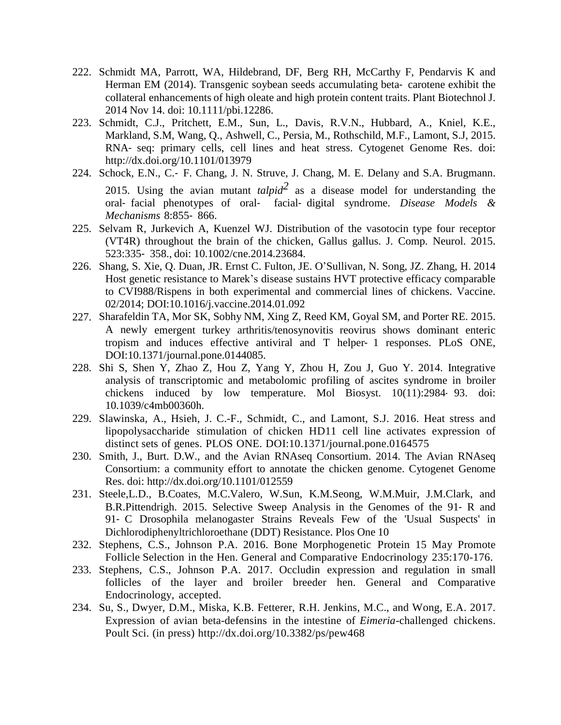- 222. Schmidt MA, Parrott, WA, Hildebrand, DF, Berg RH, McCarthy F, Pendarvis K and Herman EM (2014). Transgenic soybean seeds accumulating beta-carotene exhibit the collateral enhancements of high oleate and high protein content traits. Plant Biotechnol J. 2014 Nov 14. doi: 10.1111/pbi.12286.
- 223. Schmidt, C.J., Pritchett, E.M., Sun, L., Davis, R.V.N., Hubbard, A., Kniel, K.E., Markland, S.M, Wang, Q., Ashwell, C., Persia, M., Rothschild, M.F., Lamont, S.J, 2015. RNA‐ seq: primary cells, cell lines and heat stress. Cytogenet Genome Res. doi: <http://dx.doi.org/10.1101/013979>
- 224. Schock, E.N., C.‐ F. Chang, J. N. Struve, J. Chang, M. E. Delany and S.A. Brugmann. 2015. Using the avian mutant  $talpha^2$  as a disease model for understanding the oral‐ facial phenotypes of oral‐ facial‐ digital syndrome. *Disease Models & Mechanisms* 8:855‐ 866.
- 225. Selvam R, Jurkevich A, Kuenzel WJ. Distribution of the vasotocin type four receptor (VT4R) throughout the brain of the chicken, Gallus gallus. J. Comp. Neurol. 2015. 523:335‐ 358., doi: 10.1002/cne.2014.23684.
- 226. Shang, S. Xie, Q. Duan, JR. Ernst C. Fulton, JE. O'Sullivan, N. Song, JZ. Zhang, H. 2014 Host genetic resistance to Marek's disease sustains HVT protective efficacy comparable to CVI988/Rispens in both experimental and commercial lines of chickens. Vaccine. 02/2014; DOI:10.1016/j.vaccine.2014.01.092
- 227. Sharafeldin TA, Mor SK, Sobhy NM, Xing Z, Reed KM, Goyal SM, and Porter RE. 2015. A newly emergent turkey arthritis/tenosynovitis reovirus shows dominant enteric tropism and induces effective antiviral and T helper‐ 1 responses. PLoS ONE, DOI:10.1371/journal.pone.0144085.
- 228. Shi S, Shen Y, Zhao Z, Hou Z, Yang Y, Zhou H, Zou J, Guo Y. 2014. Integrative analysis of transcriptomic and metabolomic profiling of ascites syndrome in broiler chickens induced by low temperature. Mol Biosyst. 10(11):2984‐ 93. doi: 10.1039/c4mb00360h.
- 229. Slawinska, A., Hsieh, J. C.-F., Schmidt, C., and Lamont, S.J. 2016. Heat stress and lipopolysaccharide stimulation of chicken HD11 cell line activates expression of distinct sets of genes. PLOS ONE. DOI:10.1371/journal.pone.0164575
- 230. Smith, J., Burt. D.W., and the Avian RNAseq Consortium. 2014. The Avian RNAseq Consortium: a community effort to annotate the chicken genome. Cytogenet Genome Res. doi: <http://dx.doi.org/10.1101/012559>
- 231. Steele,L.D., B.Coates, M.C.Valero, W.Sun, K.M.Seong, W.M.Muir, J.M.Clark, and B.R.Pittendrigh. 2015. Selective Sweep Analysis in the Genomes of the 91‐ R and 91‐ C Drosophila melanogaster Strains Reveals Few of the 'Usual Suspects' in Dichlorodiphenyltrichloroethane (DDT) Resistance. Plos One 10
- 232. Stephens, C.S., Johnson P.A. 2016. Bone Morphogenetic Protein 15 May Promote Follicle Selection in the Hen. General and Comparative Endocrinology 235:170-176.
- 233. Stephens, C.S., Johnson P.A. 2017. Occludin expression and regulation in small follicles of the layer and broiler breeder hen. General and Comparative Endocrinology, accepted.
- 234. Su, S., Dwyer, D.M., Miska, K.B. Fetterer, R.H. Jenkins, M.C., and Wong, E.A. 2017. Expression of avian beta-defensins in the intestine of *Eimeria*-challenged chickens. Poult Sci. (in press) <http://dx.doi.org/10.3382/ps/pew468>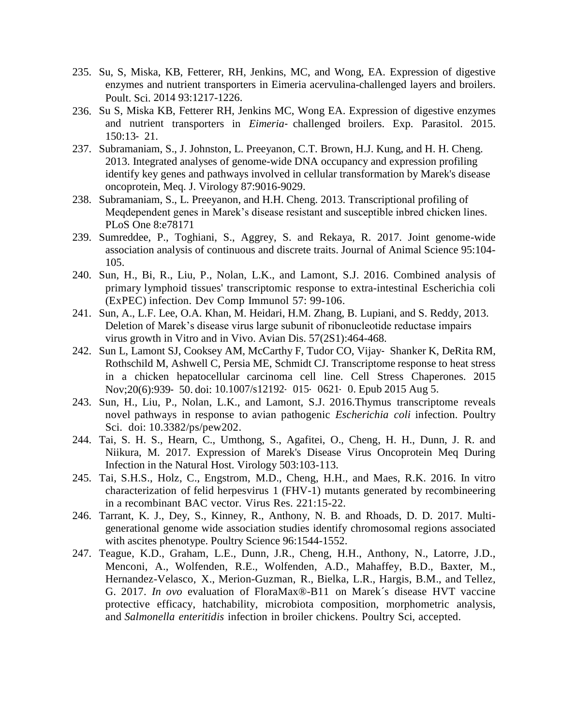- 235. Su, S, Miska, KB, Fetterer, RH, Jenkins, MC, and Wong, EA. Expression of digestive enzymes and nutrient transporters in Eimeria acervulina-challenged layers and broilers. Poult. Sci. 2014 93:1217-1226.
- 236. Su S, Miska KB, Fetterer RH, Jenkins MC, Wong EA. Expression of digestive enzymes and nutrient transporters in *Eimeria*‐ challenged broilers. Exp. Parasitol. 2015. 150:13‐ 21.
- 237. Subramaniam, S., J. Johnston, L. Preeyanon, C.T. Brown, H.J. Kung, and H. H. Cheng. 2013. Integrated analyses of genome-wide DNA occupancy and expression profiling identify key genes and pathways involved in cellular transformation by Marek's disease oncoprotein, Meq. J. Virology 87:9016-9029.
- 238. Subramaniam, S., L. Preeyanon, and H.H. Cheng. 2013. Transcriptional profiling of Meqdependent genes in Marek's disease resistant and susceptible inbred chicken lines. PLoS One 8:e78171
- 239. Sumreddee, P., Toghiani, S., Aggrey, S. and Rekaya, R. 2017. Joint genome-wide association analysis of continuous and discrete traits. Journal of Animal Science 95:104- 105.
- 240. Sun, H., Bi, R., Liu, P., Nolan, L.K., and Lamont, S.J. 2016. Combined analysis of primary lymphoid tissues' transcriptomic response to extra-intestinal Escherichia coli (ExPEC) infection. Dev Comp Immunol 57: 99-106.
- 241. Sun, A., L.F. Lee, O.A. Khan, M. Heidari, H.M. Zhang, B. Lupiani, and S. Reddy, 2013. Deletion of Marek's disease virus large subunit of ribonucleotide reductase impairs virus growth in Vitro and in Vivo. Avian Dis. 57(2S1):464-468.
- 242. Sun L, Lamont SJ, Cooksey AM, McCarthy F, Tudor CO, Vijay‐ Shanker K, DeRita RM, Rothschild M, Ashwell C, Persia ME, Schmidt CJ. Transcriptome response to heat stress in a chicken hepatocellular carcinoma cell line. Cell Stress Chaperones. 2015 Nov;20(6):939‐ 50. doi: 10.1007/s12192‐ 015‐ 0621‐ 0. Epub 2015 Aug 5.
- 243. Sun, H., Liu, P., Nolan, L.K., and Lamont, S.J. 2016.Thymus transcriptome reveals novel pathways in response to avian pathogenic *Escherichia coli* infection. Poultry Sci. doi: 10.3382/ps/pew202.
- 244. Tai, S. H. S., Hearn, C., Umthong, S., Agafitei, O., Cheng, H. H., Dunn, J. R. and Niikura, M. 2017. Expression of Marek's Disease Virus Oncoprotein Meq During Infection in the Natural Host. Virology 503:103-113.
- 245. Tai, S.H.S., Holz, C., Engstrom, M.D., Cheng, H.H., and Maes, R.K. 2016. In vitro characterization of felid herpesvirus 1 (FHV-1) mutants generated by recombineering in a recombinant BAC vector. Virus Res. 221:15-22.
- 246. Tarrant, K. J., Dey, S., Kinney, R., Anthony, N. B. and Rhoads, D. D. 2017. Multigenerational genome wide association studies identify chromosomal regions associated with ascites phenotype. Poultry Science 96:1544-1552.
- 247. Teague, K.D., Graham, L.E., Dunn, J.R., Cheng, H.H., Anthony, N., Latorre, J.D., Menconi, A., Wolfenden, R.E., Wolfenden, A.D., Mahaffey, B.D., Baxter, M., Hernandez-Velasco, X., Merion-Guzman, R., Bielka, L.R., Hargis, B.M., and Tellez, G. 2017. *In ovo* evaluation of FloraMax®-B11 on Marek´s disease HVT vaccine protective efficacy, hatchability, microbiota composition, morphometric analysis, and *Salmonella enteritidis* infection in broiler chickens. Poultry Sci, accepted.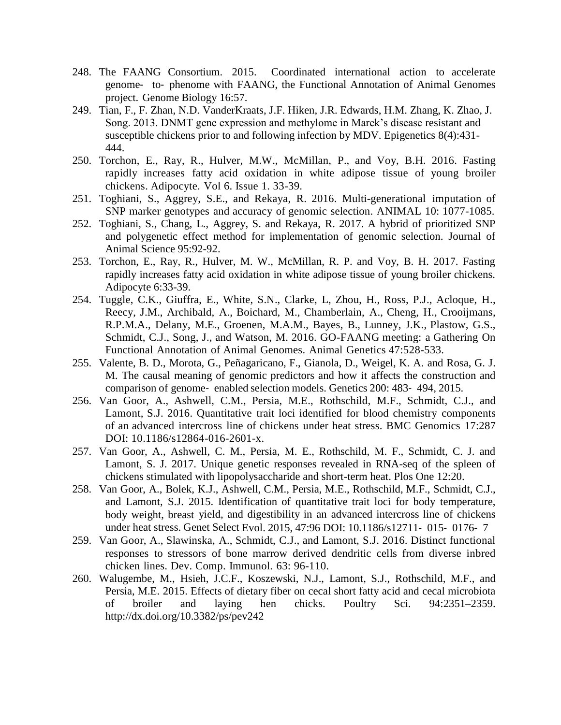- 248. The FAANG Consortium. 2015. Coordinated international action to accelerate genome‐ to‐ phenome with FAANG, the Functional Annotation of Animal Genomes project. Genome Biology 16:57.
- 249. Tian, F., F. Zhan, N.D. VanderKraats, J.F. Hiken, J.R. Edwards, H.M. Zhang, K. Zhao, J. Song. 2013. DNMT gene expression and methylome in Marek's disease resistant and susceptible chickens prior to and following infection by MDV. Epigenetics 8(4):431- 444.
- 250. Torchon, E., Ray, R., Hulver, M.W., McMillan, P., and Voy, B.H. 2016. Fasting rapidly increases fatty acid oxidation in white adipose tissue of young broiler chickens. Adipocyte. Vol 6. Issue 1. 33-39.
- 251. Toghiani, S., Aggrey, S.E., and Rekaya, R. 2016. Multi-generational imputation of SNP marker genotypes and accuracy of genomic selection. ANIMAL 10: 1077-1085.
- 252. Toghiani, S., Chang, L., Aggrey, S. and Rekaya, R. 2017. A hybrid of prioritized SNP and polygenetic effect method for implementation of genomic selection. Journal of Animal Science 95:92-92.
- 253. Torchon, E., Ray, R., Hulver, M. W., McMillan, R. P. and Voy, B. H. 2017. Fasting rapidly increases fatty acid oxidation in white adipose tissue of young broiler chickens. Adipocyte 6:33-39.
- 254. Tuggle, C.K., Giuffra, E., White, S.N., Clarke, L, Zhou, H., Ross, P.J., Acloque, H., Reecy, J.M., Archibald, A., Boichard, M., Chamberlain, A., Cheng, H., Crooijmans, R.P.M.A., Delany, M.E., Groenen, M.A.M., Bayes, B., Lunney, J.K., Plastow, G.S., Schmidt, C.J., Song, J., and Watson, M. 2016. GO-FAANG meeting: a Gathering On Functional Annotation of Animal Genomes. Animal Genetics 47:528-533.
- 255. Valente, B. D., Morota, G., Peñagaricano, F., Gianola, D., Weigel, K. A. and Rosa, G. J. M. The causal meaning of genomic predictors and how it affects the construction and comparison of genome‐ enabled selection models. Genetics 200: 483‐ 494, 2015.
- 256. Van Goor, A., Ashwell, C.M., Persia, M.E., Rothschild, M.F., Schmidt, C.J., and Lamont, S.J. 2016. Quantitative trait loci identified for blood chemistry components of an advanced intercross line of chickens under heat stress. BMC Genomics 17:287 DOI: 10.1186/s12864-016-2601-x.
- 257. Van Goor, A., Ashwell, C. M., Persia, M. E., Rothschild, M. F., Schmidt, C. J. and Lamont, S. J. 2017. Unique genetic responses revealed in RNA-seq of the spleen of chickens stimulated with lipopolysaccharide and short-term heat. Plos One 12:20.
- 258. Van Goor, A., Bolek, K.J., Ashwell, C.M., Persia, M.E., Rothschild, M.F., Schmidt, C.J., and Lamont, S.J. 2015. Identification of quantitative trait loci for body temperature, body weight, breast yield, and digestibility in an advanced intercross line of chickens under heat stress. Genet Select Evol. 2015, 47:96 DOI: 10.1186/s12711- 015- 0176- 7
- 259. Van Goor, A., Slawinska, A., Schmidt, C.J., and Lamont, S.J. 2016. Distinct functional responses to stressors of bone marrow derived dendritic cells from diverse inbred chicken lines. Dev. Comp. Immunol. 63: 96-110.
- 260. Walugembe, M., Hsieh, J.C.F., Koszewski, N.J., Lamont, S.J., Rothschild, M.F., and Persia, M.E. 2015. Effects of dietary fiber on cecal short fatty acid and cecal microbiota of broiler and laying hen chicks. Poultry Sci. 94:2351–2359. <http://dx.doi.org/10.3382/ps/pev242>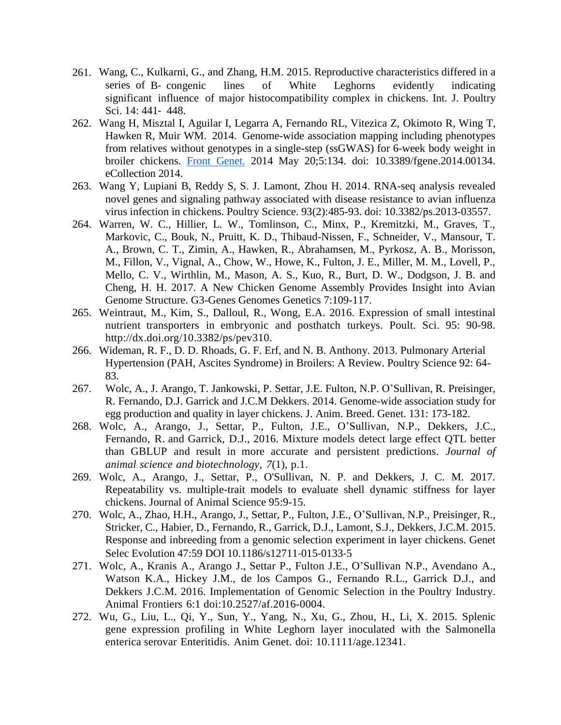- 261. Wang, C., Kulkarni, G., and Zhang, H.M. 2015. Reproductive characteristics differed in a series of B- congenic lines of White Leghorns evidently indicating significant influence of major histocompatibility complex in chickens. Int. J. Poultry Sci. 14: 441‐ 448.
- 262. Wang H, Misztal I, Aguilar I, Legarra A, Fernando RL, Vitezica Z, Okimoto R, Wing T, Hawken R, Muir WM. 2014. Genome-wide association mapping including phenotypes from relatives without genotypes in a single-step (ssGWAS) for 6-week body weight in broiler chickens. Front [Genet.](http://www.ncbi.nlm.nih.gov/pubmed/24904635) 2014 May 20;5:134. doi: 10.3389/fgene.2014.00134. eCollection 2014.
- 263. Wang Y, Lupiani B, Reddy S, S. J. Lamont, Zhou H. 2014. RNA-seq analysis revealed novel genes and signaling pathway associated with disease resistance to avian influenza virus infection in chickens. Poultry Science. 93(2):485-93. doi: 10.3382/ps.2013-03557.
- 264. Warren, W. C., Hillier, L. W., Tomlinson, C., Minx, P., Kremitzki, M., Graves, T., Markovic, C., Bouk, N., Pruitt, K. D., Thibaud-Nissen, F., Schneider, V., Mansour, T. A., Brown, C. T., Zimin, A., Hawken, R., Abrahamsen, M., Pyrkosz, A. B., Morisson, M., Fillon, V., Vignal, A., Chow, W., Howe, K., Fulton, J. E., Miller, M. M., Lovell, P., Mello, C. V., Wirthlin, M., Mason, A. S., Kuo, R., Burt, D. W., Dodgson, J. B. and Cheng, H. H. 2017. A New Chicken Genome Assembly Provides Insight into Avian Genome Structure. G3-Genes Genomes Genetics 7:109-117.
- 265. Weintraut, M., Kim, S., Dalloul, R., Wong, E.A. 2016. Expression of small intestinal nutrient transporters in embryonic and posthatch turkeys. Poult. Sci. 95: 90-98[.](http://dx.doi.org/10.3382/ps/pev310) [http://dx.doi.org/10.3382/ps/pev310.](http://dx.doi.org/10.3382/ps/pev310)
- 266. Wideman, R. F., D. D. Rhoads, G. F. Erf, and N. B. Anthony. 2013. Pulmonary Arterial Hypertension (PAH, Ascites Syndrome) in Broilers: A Review. Poultry Science 92: 64- 83.
- 267. Wolc, A., J. Arango, T. Jankowski, P. Settar, J.E. Fulton, N.P. O'Sullivan, R. Preisinger, R. Fernando, D.J. Garrick and J.C.M Dekkers. 2014. Genome-wide association study for egg production and quality in layer chickens. J. Anim. Breed. Genet. 131: 173-182.
- 268. Wolc, A., Arango, J., Settar, P., Fulton, J.E., O'Sullivan, N.P., Dekkers, J.C., Fernando, R. and Garrick, D.J., 2016. Mixture models detect large effect QTL better than GBLUP and result in more accurate and persistent predictions. *Journal of animal science and biotechnology*, *7*(1), p.1.
- 269. Wolc, A., Arango, J., Settar, P., O'Sullivan, N. P. and Dekkers, J. C. M. 2017. Repeatability vs. multiple-trait models to evaluate shell dynamic stiffness for layer chickens. Journal of Animal Science 95:9-15.
- 270. Wolc, A., Zhao, H.H., Arango, J., Settar, P., Fulton, J.E., O'Sullivan, N.P., Preisinger, R., Stricker, C., Habier, D., Fernando, R., Garrick, D.J., Lamont, S.J., Dekkers, J.C.M. 2015. Response and inbreeding from a genomic selection experiment in layer chickens. Genet Selec Evolution 47:59 DOI 10.1186/s12711‐015‐0133‐5
- 271. Wolc, A., Kranis A., Arango J., Settar P., Fulton J.E., O'Sullivan N.P., Avendano A., Watson K.A., Hickey J.M., de los Campos G., Fernando R.L., Garrick D.J., and Dekkers J.C.M. 2016. Implementation of Genomic Selection in the Poultry Industry. Animal Frontiers 6:1 doi:10.2527/af.2016-0004.
- 272. Wu, G., Liu, L., Qi, Y., Sun, Y., Yang, N., Xu, G., Zhou, H., Li, X. 2015. Splenic gene expression profiling in White Leghorn layer inoculated with the Salmonella enterica serovar Enteritidis. Anim Genet. doi: 10.1111/age.12341.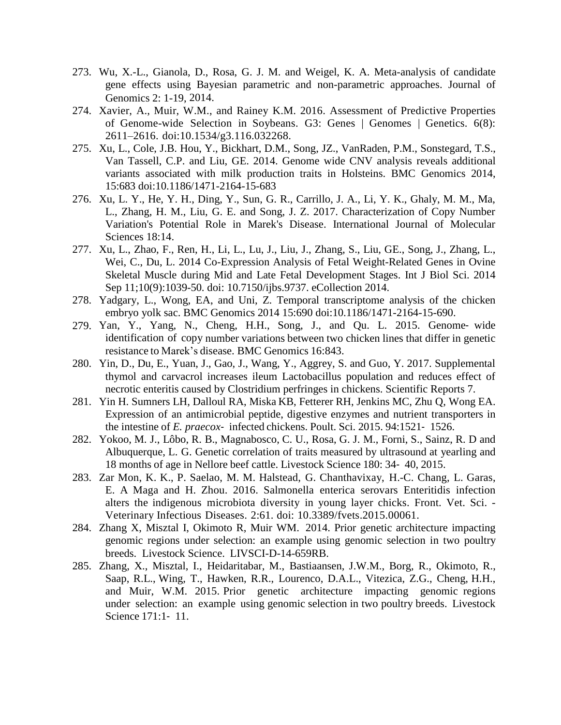- 273. Wu, X.-L., Gianola, D., Rosa, G. J. M. and Weigel, K. A. Meta-analysis of candidate gene effects using Bayesian parametric and non-parametric approaches. Journal of Genomics 2: 1-19, 2014.
- 274. Xavier, A., Muir, W.M., and Rainey K.M. 2016. Assessment of Predictive Properties of Genome-wide Selection in Soybeans. G3: Genes | Genomes | Genetics. 6(8): 2611–2616. doi:10.1534/g3.116.032268.
- 275. Xu, L., Cole, J.B. Hou, Y., Bickhart, D.M., Song, JZ., VanRaden, P.M., Sonstegard, T.S., Van Tassell, C.P. and Liu, GE. 2014. Genome wide CNV analysis reveals additional variants associated with milk production traits in Holsteins. BMC Genomics 2014, 15:683 doi:10.1186/1471-2164-15-683
- 276. Xu, L. Y., He, Y. H., Ding, Y., Sun, G. R., Carrillo, J. A., Li, Y. K., Ghaly, M. M., Ma, L., Zhang, H. M., Liu, G. E. and Song, J. Z. 2017. Characterization of Copy Number Variation's Potential Role in Marek's Disease. International Journal of Molecular Sciences 18:14.
- 277. Xu, L., Zhao, F., Ren, H., Li, L., Lu, J., Liu, J., Zhang, S., Liu, GE., Song, J., Zhang, L., Wei, C., Du, L. 2014 Co-Expression Analysis of Fetal Weight-Related Genes in Ovine Skeletal Muscle during Mid and Late Fetal Development Stages. Int J Biol Sci. 2014 Sep 11;10(9):1039-50. doi: 10.7150/ijbs.9737. eCollection 2014.
- 278. Yadgary, L., Wong, EA, and Uni, Z. Temporal transcriptome analysis of the chicken embryo yolk sac. BMC Genomics 2014 15:690 doi:10.1186/1471-2164-15-690.
- 279. Yan, Y., Yang, N., Cheng, H.H., Song, J., and Qu. L. 2015. Genome‐ wide identification of copy number variations between two chicken lines that differ in genetic resistance to Marek's disease. BMC Genomics 16:843.
- 280. Yin, D., Du, E., Yuan, J., Gao, J., Wang, Y., Aggrey, S. and Guo, Y. 2017. Supplemental thymol and carvacrol increases ileum Lactobacillus population and reduces effect of necrotic enteritis caused by Clostridium perfringes in chickens. Scientific Reports 7.
- 281. Yin H. Sumners LH, Dalloul RA, Miska KB, Fetterer RH, Jenkins MC, Zhu Q, Wong EA. Expression of an antimicrobial peptide, digestive enzymes and nutrient transporters in the intestine of *E. praecox*‐ infected chickens. Poult. Sci. 2015. 94:1521‐ 1526.
- 282. Yokoo, M. J., Lôbo, R. B., Magnabosco, C. U., Rosa, G. J. M., Forni, S., Sainz, R. D and Albuquerque, L. G. Genetic correlation of traits measured by ultrasound at yearling and 18 months of age in Nellore beef cattle. Livestock Science 180: 34‐ 40, 2015.
- 283. Zar Mon, K. K., P. Saelao, M. M. Halstead, G. Chanthavixay, H.-C. Chang, L. Garas, E. A Maga and H. Zhou. 2016. Salmonella enterica serovars Enteritidis infection alters the indigenous microbiota diversity in young layer chicks. Front. Vet. Sci. - Veterinary Infectious Diseases. 2:61. doi: 10.3389/fvets.2015.00061.
- 284. Zhang X, Misztal I, Okimoto R, Muir WM. 2014. Prior genetic architecture impacting genomic regions under selection: an example using genomic selection in two poultry breeds. Livestock Science. LIVSCI-D-14-659RB.
- 285. Zhang, X., Misztal, I., Heidaritabar, M., Bastiaansen, J.W.M., Borg, R., Okimoto, R., Saap, R.L., Wing, T., Hawken, R.R., Lourenco, D.A.L., Vitezica, Z.G., Cheng, H.H., and Muir, W.M. 2015. Prior genetic architecture impacting genomic regions under selection: an example using genomic selection in two poultry breeds. Livestock Science 171:1‐ 11.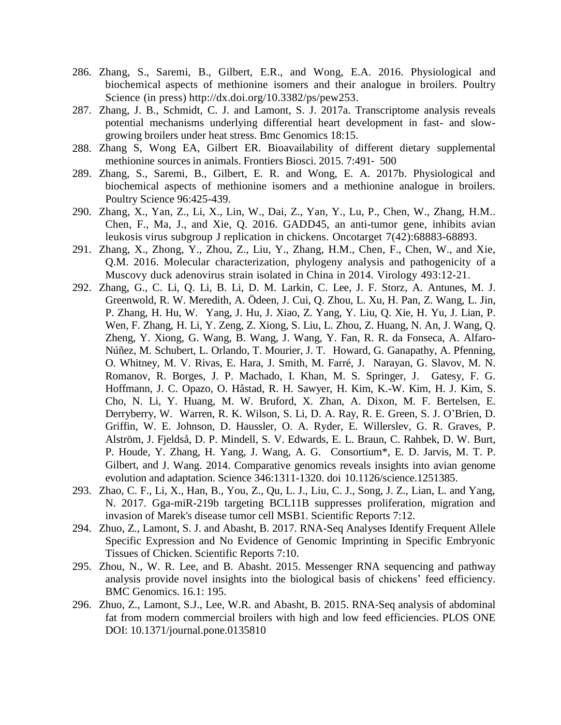- 286. Zhang, S., Saremi, B., Gilbert, E.R., and Wong, E.A. 2016. Physiological and biochemical aspects of methionine isomers and their analogue in broilers. Poultry Science (in press) [http://dx.doi.org/10.3382/ps/pew253.](http://dx.doi.org/10.3382/ps/pew253)
- 287. Zhang, J. B., Schmidt, C. J. and Lamont, S. J. 2017a. Transcriptome analysis reveals potential mechanisms underlying differential heart development in fast- and slowgrowing broilers under heat stress. Bmc Genomics 18:15.
- 288. Zhang S, Wong EA, Gilbert ER. Bioavailability of different dietary supplemental methionine sources in animals. Frontiers Biosci. 2015. 7:491‐ 500
- 289. Zhang, S., Saremi, B., Gilbert, E. R. and Wong, E. A. 2017b. Physiological and biochemical aspects of methionine isomers and a methionine analogue in broilers. Poultry Science 96:425-439.
- 290. Zhang, X., Yan, Z., Li, X., Lin, W., Dai, Z., Yan, Y., Lu, P., Chen, W., Zhang, H.M.. Chen, F., Ma, J., and Xie, Q. 2016. GADD45, an anti-tumor gene, inhibits avian leukosis virus subgroup J replication in chickens. Oncotarget 7(42):68883-68893.
- 291. Zhang, X., Zhong, Y., Zhou, Z., Liu, Y., Zhang, H.M., Chen, F., Chen, W., and Xie, Q.M. 2016. Molecular characterization, phylogeny analysis and pathogenicity of a Muscovy duck adenovirus strain isolated in China in 2014. Virology 493:12-21.
- 292. Zhang, G., C. Li, Q. Li, B. Li, D. M. Larkin, C. Lee, J. F. Storz, A. Antunes, M. J. Greenwold, R. W. Meredith, A. Ödeen, J. Cui, Q. Zhou, L. Xu, H. Pan, Z. Wang, L. Jin, P. Zhang, H. Hu, W. Yang, J. Hu, J. Xiao, Z. Yang, Y. Liu, Q. Xie, H. Yu, J. Lian, P. Wen, F. Zhang, H. Li, Y. Zeng, Z. Xiong, S. Liu, L. Zhou, Z. Huang, N. An, J. Wang, Q. Zheng, Y. Xiong, G. Wang, B. Wang, J. Wang, Y. Fan, R. R. da Fonseca, A. Alfaro-Núñez, M. Schubert, L. Orlando, T. Mourier, J. T. Howard, G. Ganapathy, A. Pfenning, O. Whitney, M. V. Rivas, E. Hara, J. Smith, M. Farré, J. Narayan, G. Slavov, M. N. Romanov, R. Borges, J. P. Machado, I. Khan, M. S. Springer, J. Gatesy, F. G. Hoffmann, J. C. Opazo, O. Håstad, R. H. Sawyer, H. Kim, K.-W. Kim, H. J. Kim, S. Cho, N. Li, Y. Huang, M. W. Bruford, X. Zhan, A. Dixon, M. F. Bertelsen, E. Derryberry, W. Warren, R. K. Wilson, S. Li, D. A. Ray, R. E. Green, S. J. O'Brien, D. Griffin, W. E. Johnson, D. Haussler, O. A. Ryder, E. Willerslev, G. R. Graves, P. Alström, J. Fjeldså, D. P. Mindell, S. V. Edwards, E. L. Braun, C. Rahbek, D. W. Burt, P. Houde, Y. Zhang, H. Yang, J. Wang, A. G. Consortium\*, E. D. Jarvis, M. T. P. Gilbert, and J. Wang. 2014. Comparative genomics reveals insights into avian genome evolution and adaptation. Science 346:1311-1320. doi 10.1126/science.1251385.
- 293. Zhao, C. F., Li, X., Han, B., You, Z., Qu, L. J., Liu, C. J., Song, J. Z., Lian, L. and Yang, N. 2017. Gga-miR-219b targeting BCL11B suppresses proliferation, migration and invasion of Marek's disease tumor cell MSB1. Scientific Reports 7:12.
- 294. Zhuo, Z., Lamont, S. J. and Abasht, B. 2017. RNA-Seq Analyses Identify Frequent Allele Specific Expression and No Evidence of Genomic Imprinting in Specific Embryonic Tissues of Chicken. Scientific Reports 7:10.
- 295. Zhou, N., W. R. Lee, and B. Abasht. 2015. Messenger RNA sequencing and pathway analysis provide novel insights into the biological basis of chickens' feed efficiency. BMC Genomics. 16.1: 195.
- 296. Zhuo, Z., Lamont, S.J., Lee, W.R. and Abasht, B. 2015. RNA‐Seq analysis of abdominal fat from modern commercial broilers with high and low feed efficiencies. PLOS ONE DOI: 10.1371/journal.pone.0135810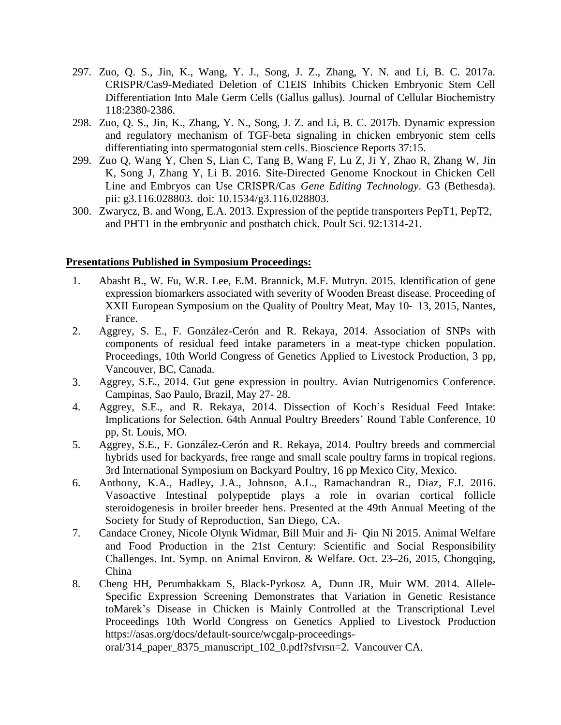- 297. Zuo, Q. S., Jin, K., Wang, Y. J., Song, J. Z., Zhang, Y. N. and Li, B. C. 2017a. CRISPR/Cas9-Mediated Deletion of C1EIS Inhibits Chicken Embryonic Stem Cell Differentiation Into Male Germ Cells (Gallus gallus). Journal of Cellular Biochemistry 118:2380-2386.
- 298. Zuo, Q. S., Jin, K., Zhang, Y. N., Song, J. Z. and Li, B. C. 2017b. Dynamic expression and regulatory mechanism of TGF-beta signaling in chicken embryonic stem cells differentiating into spermatogonial stem cells. Bioscience Reports 37:15.
- 299. Zuo Q, Wang Y, Chen S, Lian C, Tang B, Wang F, Lu Z, Ji Y, Zhao R, Zhang W, Jin K, Song J, Zhang Y, Li B. 2016. Site-Directed Genome Knockout in Chicken Cell Line and Embryos can Use CRISPR/Cas *Gene Editing Technology*. G3 (Bethesda). pii: g3.116.028803. doi: 10.1534/g3.116.028803.
- 300. Zwarycz, B. and Wong, E.A. 2013. Expression of the peptide transporters PepT1, PepT2, and PHT1 in the embryonic and posthatch chick. Poult Sci. 92:1314-21.

## **Presentations Published in Symposium Proceedings:**

- 1. Abasht B., W. Fu, W.R. Lee, E.M. Brannick, M.F. Mutryn. 2015. Identification of gene expression biomarkers associated with severity of Wooden Breast disease. Proceeding of XXII European Symposium on the Quality of Poultry Meat, May 10‐ 13, 2015, Nantes, France.
- 2. Aggrey, S. E., F. González-Cerón and R. Rekaya, 2014. Association of SNPs with components of residual feed intake parameters in a meat-type chicken population. Proceedings, 10th World Congress of Genetics Applied to Livestock Production, 3 pp, Vancouver, BC, Canada.
- 3. Aggrey, S.E., 2014. Gut gene expression in poultry. Avian Nutrigenomics Conference. Campinas, Sao Paulo, Brazil, May 27- 28.
- 4. Aggrey, S.E., and R. Rekaya, 2014. Dissection of Koch's Residual Feed Intake: Implications for Selection. 64th Annual Poultry Breeders' Round Table Conference, 10 pp, St. Louis, MO.
- 5. Aggrey, S.E., F. González-Cerón and R. Rekaya, 2014. Poultry breeds and commercial hybrids used for backyards, free range and small scale poultry farms in tropical regions. 3rd International Symposium on Backyard Poultry, 16 pp Mexico City, Mexico.
- 6. Anthony, K.A., Hadley, J.A., Johnson, A.L., Ramachandran R., Diaz, F.J. 2016. Vasoactive Intestinal polypeptide plays a role in ovarian cortical follicle steroidogenesis in broiler breeder hens. Presented at the 49th Annual Meeting of the Society for Study of Reproduction, San Diego, CA.
- 7. Candace Croney, Nicole Olynk Widmar, Bill Muir and Ji‐ Qin Ni 2015. Animal Welfare and Food Production in the 21st Century: Scientific and Social Responsibility Challenges. Int. Symp. on Animal Environ. & Welfare. Oct. 23–26, 2015, Chongqing, China
- 8. Cheng HH, Perumbakkam S, Black-Pyrkosz A, Dunn JR, Muir WM. 2014. Allele-Specific Expression Screening Demonstrates that Variation in Genetic Resistance toMarek's Disease in Chicken is Mainly Controlled at the Transcriptional Level Proceedings 10th World Congress on Genetics Applied to Livestock Production https://asas.org/docs/default-source/wcgalp-proceedings-

oral/314\_paper\_8375\_manuscript\_102\_0.pdf?sfvrsn=2. Vancouver CA.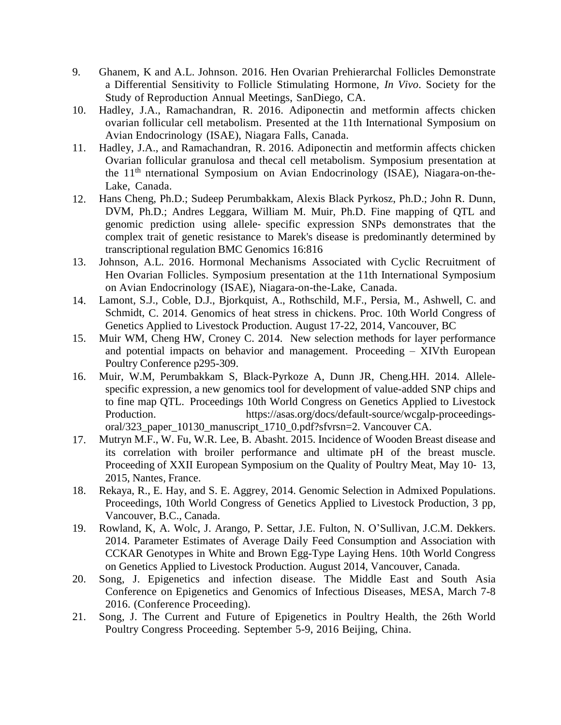- 9. Ghanem, K and A.L. Johnson. 2016. Hen Ovarian Prehierarchal Follicles Demonstrate a Differential Sensitivity to Follicle Stimulating Hormone, *In Vivo*. Society for the Study of Reproduction Annual Meetings, SanDiego, CA.
- 10. Hadley, J.A., Ramachandran, R. 2016. Adiponectin and metformin affects chicken ovarian follicular cell metabolism. Presented at the 11th International Symposium on Avian Endocrinology (ISAE), Niagara Falls, Canada.
- 11. Hadley, J.A., and Ramachandran, R. 2016. Adiponectin and metformin affects chicken Ovarian follicular granulosa and thecal cell metabolism. Symposium presentation at the 11<sup>th</sup> nternational Symposium on Avian Endocrinology (ISAE), Niagara-on-the-Lake, Canada.
- 12. Hans Cheng, Ph.D.; Sudeep Perumbakkam, Alexis Black Pyrkosz, Ph.D.; John R. Dunn, DVM, Ph.D.; Andres Leggara, William M. Muir, Ph.D. Fine mapping of QTL and genomic prediction using allele‐ specific expression SNPs demonstrates that the complex trait of genetic resistance to Marek's disease is predominantly determined by transcriptional regulation BMC Genomics 16:816
- 13. Johnson, A.L. 2016. Hormonal Mechanisms Associated with Cyclic Recruitment of Hen Ovarian Follicles. Symposium presentation at the 11th International Symposium on Avian Endocrinology (ISAE), Niagara-on-the-Lake, Canada.
- 14. Lamont, S.J., Coble, D.J., Bjorkquist, A., Rothschild, M.F., Persia, M., Ashwell, C. and Schmidt, C. 2014. Genomics of heat stress in chickens. Proc. 10th World Congress of Genetics Applied to Livestock Production. August 17-22, 2014, Vancouver, BC
- 15. Muir WM, Cheng HW, Croney C. 2014. New selection methods for layer performance and potential impacts on behavior and management. Proceeding – XIVth European Poultry Conference p295-309.
- 16. Muir, W.M, Perumbakkam S, Black-Pyrkoze A, Dunn JR, Cheng.HH. 2014. Allelespecific expression, a new genomics tool for development of value-added SNP chips and to fine map QTL. Proceedings 10th World Congress on Genetics Applied to Livestock Production. https://asas.org/docs/default-source/wcgalp-proceedingsoral/323\_paper\_10130\_manuscript\_1710\_0.pdf?sfvrsn=2. Vancouver CA.
- 17. Mutryn M.F., W. Fu, W.R. Lee, B. Abasht. 2015. Incidence of Wooden Breast disease and its correlation with broiler performance and ultimate pH of the breast muscle. Proceeding of XXII European Symposium on the Quality of Poultry Meat, May 10‐ 13, 2015, Nantes, France.
- 18. Rekaya, R., E. Hay, and S. E. Aggrey, 2014. Genomic Selection in Admixed Populations. Proceedings, 10th World Congress of Genetics Applied to Livestock Production, 3 pp, Vancouver, B.C., Canada.
- 19. Rowland, K, A. Wolc, J. Arango, P. Settar, J.E. Fulton, N. O'Sullivan, J.C.M. Dekkers. 2014. Parameter Estimates of Average Daily Feed Consumption and Association with CCKAR Genotypes in White and Brown Egg-Type Laying Hens. 10th World Congress on Genetics Applied to Livestock Production. August 2014, Vancouver, Canada.
- 20. Song, J. Epigenetics and infection disease. The Middle East and South Asia Conference on Epigenetics and Genomics of Infectious Diseases, MESA, March 7-8 2016. (Conference Proceeding).
- 21. Song, J. The Current and Future of Epigenetics in Poultry Health, the 26th World Poultry Congress Proceeding. September 5-9, 2016 Beijing, China.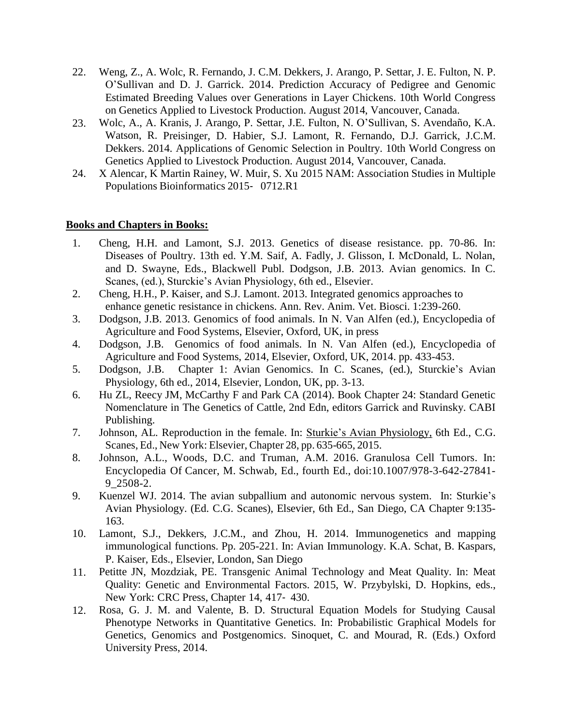- 22. Weng, Z., A. Wolc, R. Fernando, J. C.M. Dekkers, J. Arango, P. Settar, J. E. Fulton, N. P. O'Sullivan and D. J. Garrick. 2014. Prediction Accuracy of Pedigree and Genomic Estimated Breeding Values over Generations in Layer Chickens. 10th World Congress on Genetics Applied to Livestock Production. August 2014, Vancouver, Canada.
- 23. Wolc, A., A. Kranis, J. Arango, P. Settar, J.E. Fulton, N. O'Sullivan, S. Avendaño, K.A. Watson, R. Preisinger, D. Habier, S.J. Lamont, R. Fernando, D.J. Garrick, J.C.M. Dekkers. 2014. Applications of Genomic Selection in Poultry. 10th World Congress on Genetics Applied to Livestock Production. August 2014, Vancouver, Canada.
- 24. X Alencar, K Martin Rainey, W. Muir, S. Xu 2015 NAM: Association Studies in Multiple Populations Bioinformatics 2015‐ 0712.R1

# **Books and Chapters in Books:**

- 1. Cheng, H.H. and Lamont, S.J. 2013. Genetics of disease resistance. pp. 70-86. In: Diseases of Poultry. 13th ed. Y.M. Saif, A. Fadly, J. Glisson, I. McDonald, L. Nolan, and D. Swayne, Eds., Blackwell Publ. Dodgson, J.B. 2013. Avian genomics. In C. Scanes, (ed.), Sturckie's Avian Physiology, 6th ed., Elsevier.
- 2. Cheng, H.H., P. Kaiser, and S.J. Lamont. 2013. Integrated genomics approaches to enhance genetic resistance in chickens. Ann. Rev. Anim. Vet. Biosci. 1:239-260.
- 3. Dodgson, J.B. 2013. Genomics of food animals. In N. Van Alfen (ed.), Encyclopedia of Agriculture and Food Systems, Elsevier, Oxford, UK, in press
- 4. Dodgson, J.B. Genomics of food animals. In N. Van Alfen (ed.), Encyclopedia of Agriculture and Food Systems, 2014, Elsevier, Oxford, UK, 2014. pp. 433-453.
- 5. Dodgson, J.B. Chapter 1: Avian Genomics. In C. Scanes, (ed.), Sturckie's Avian Physiology, 6th ed., 2014, Elsevier, London, UK, pp. 3-13.
- 6. Hu ZL, Reecy JM, McCarthy F and Park CA (2014). Book Chapter 24: Standard Genetic Nomenclature in The Genetics of Cattle, 2nd Edn, editors Garrick and Ruvinsky. CABI Publishing.
- 7. Johnson, AL. Reproduction in the female. In: Sturkie's Avian Physiology, 6th Ed., C.G. Scanes, Ed., New York: Elsevier, Chapter 28, pp. 635-665, 2015.
- 8. Johnson, A.L., Woods, D.C. and Truman, A.M. 2016. Granulosa Cell Tumors. In: Encyclopedia Of Cancer, M. Schwab, Ed., fourth Ed., doi:10.1007/978-3-642-27841- 9\_2508-2.
- 9. Kuenzel WJ. 2014. The avian subpallium and autonomic nervous system. In: Sturkie's Avian Physiology. (Ed. C.G. Scanes), Elsevier, 6th Ed., San Diego, CA Chapter 9:135- 163.
- 10. Lamont, S.J., Dekkers, J.C.M., and Zhou, H. 2014. Immunogenetics and mapping immunological functions. Pp. 205-221. In: Avian Immunology. K.A. Schat, B. Kaspars, P. Kaiser, Eds., Elsevier, London, San Diego
- 11. Petitte JN, Mozdziak, PE. Transgenic Animal Technology and Meat Quality. In: Meat Quality: Genetic and Environmental Factors. 2015, W. Przybylski, D. Hopkins, eds., New York: CRC Press, Chapter 14, 417‐ 430.
- 12. Rosa, G. J. M. and Valente, B. D. Structural Equation Models for Studying Causal Phenotype Networks in Quantitative Genetics. In: Probabilistic Graphical Models for Genetics, Genomics and Postgenomics. Sinoquet, C. and Mourad, R. (Eds.) Oxford University Press, 2014.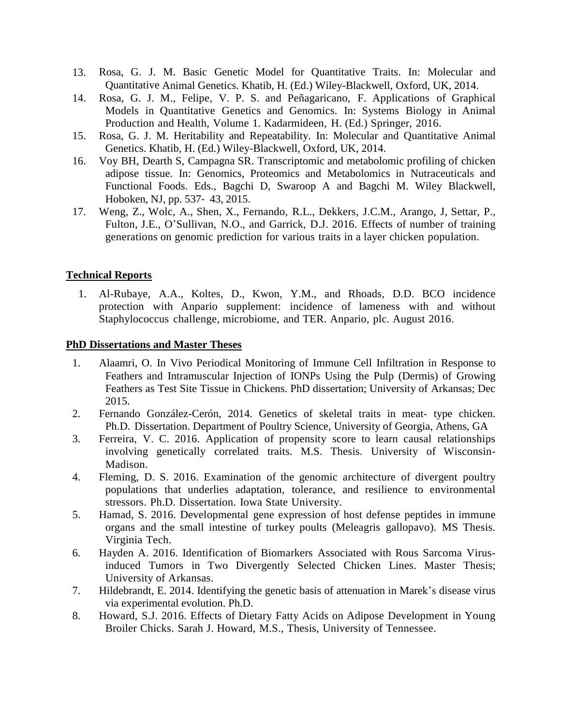- 13. Rosa, G. J. M. Basic Genetic Model for Quantitative Traits. In: Molecular and Quantitative Animal Genetics. Khatib, H. (Ed.) Wiley-Blackwell, Oxford, UK, 2014.
- 14. Rosa, G. J. M., Felipe, V. P. S. and Peñagaricano, F. Applications of Graphical Models in Quantitative Genetics and Genomics. In: Systems Biology in Animal Production and Health, Volume 1. Kadarmideen, H. (Ed.) Springer, 2016.
- 15. Rosa, G. J. M. Heritability and Repeatability. In: Molecular and Quantitative Animal Genetics. Khatib, H. (Ed.) Wiley-Blackwell, Oxford, UK, 2014.
- 16. Voy BH, Dearth S, Campagna SR. Transcriptomic and metabolomic profiling of chicken adipose tissue. In: Genomics, Proteomics and Metabolomics in Nutraceuticals and Functional Foods. Eds., Bagchi D, Swaroop A and Bagchi M. Wiley Blackwell, Hoboken, NJ, pp. 537‐ 43, 2015.
- 17. Weng, Z., Wolc, A., Shen, X., Fernando, R.L., Dekkers, J.C.M., Arango, J, Settar, P., Fulton, J.E., O'Sullivan, N.O., and Garrick, D.J. 2016. Effects of number of training generations on genomic prediction for various traits in a layer chicken population.

# **Technical Reports**

1. Al-Rubaye, A.A., Koltes, D., Kwon, Y.M., and Rhoads, D.D. BCO incidence protection with Anpario supplement: incidence of lameness with and without Staphylococcus challenge, microbiome, and TER. Anpario, plc. August 2016.

## **PhD Dissertations and Master Theses**

- 1. Alaamri, O. In Vivo Periodical Monitoring of Immune Cell Infiltration in Response to Feathers and Intramuscular Injection of IONPs Using the Pulp (Dermis) of Growing Feathers as Test Site Tissue in Chickens. PhD dissertation; University of Arkansas; Dec 2015.
- 2. Fernando González-Cerón, 2014. Genetics of skeletal traits in meat- type chicken. Ph.D. Dissertation. Department of Poultry Science, University of Georgia, Athens, GA
- 3. Ferreira, V. C. 2016. Application of propensity score to learn causal relationships involving genetically correlated traits. M.S. Thesis. University of Wisconsin-Madison.
- 4. Fleming, D. S. 2016. Examination of the genomic architecture of divergent poultry populations that underlies adaptation, tolerance, and resilience to environmental stressors. Ph.D. Dissertation. Iowa State University.
- 5. Hamad, S. 2016. Developmental gene expression of host defense peptides in immune organs and the small intestine of turkey poults (Meleagris gallopavo). MS Thesis. Virginia Tech.
- 6. Hayden A. 2016. Identification of Biomarkers Associated with Rous Sarcoma Virusinduced Tumors in Two Divergently Selected Chicken Lines. Master Thesis; University of Arkansas.
- 7. Hildebrandt, E. 2014. Identifying the genetic basis of attenuation in Marek's disease virus via experimental evolution. Ph.D.
- 8. Howard, S.J. 2016. Effects of Dietary Fatty Acids on Adipose Development in Young Broiler Chicks. Sarah J. Howard, M.S., Thesis, University of Tennessee.